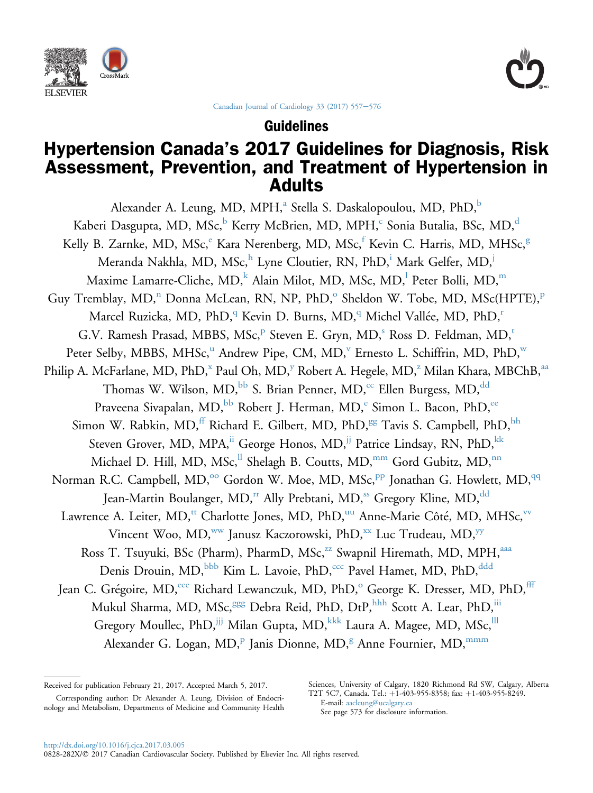



Canadian Journal of Cardiology 33 (2017)  $557-576$  $557-576$ 

Guidelines

# Hypertension Canada's 2017 Guidelines for Diagnosis, Risk Assessment, Prevention, and Treatment of Hypertension in Adults

Alexander A. Leung, MD, MPH,<sup>a</sup> Stella S. Daskalopoulou, MD, PhD,<sup>b</sup> Kaberi Dasgupta, MD, MSc,<sup>b</sup> Kerry McBrien, MD, MPH,<sup>c</sup> Sonia Butalia, BSc, MD,<sup>d</sup> Kelly B. Zarnke, MD, MSc, $e^k$  Kara Nerenberg, MD, MSc, $f$  Kevin C. Harris, MD, MHSc, $g^k$ Meranda Nakhla, MD, MSc,<sup>h</sup> Lyne Cloutier, RN, PhD,<sup>i</sup> Mark Gelfer, MD,<sup>j</sup> Maxime Lamarre-Cliche, MD,  $^k$  Alain Milot, MD, MSc, MD, Peter Bolli, MD, $^m$ Guy Tremblay, MD,<sup>n</sup> Donna McLean, RN, NP, PhD,<sup>o</sup> Sheldon W. Tobe, MD, MSc(HPTE),<sup>p</sup> Marcel Ruzicka, MD, PhD,<sup>q</sup> Kevin D. Burns, MD,<sup>q</sup> Michel Vallée, MD, PhD,<sup>r</sup> G.V. Ramesh Prasad, MBBS, MSc,<sup>p</sup> Steven E. Gryn, MD,<sup>s</sup> Ross D. Feldman, MD,<sup>t</sup> Peter Selby, MBBS, MHSc," Andrew Pipe, CM, MD," Ernesto L. Schiffrin, MD, PhD," Philip A. McFarlane, MD, PhD,<sup>x</sup> Paul Oh, MD,<sup>y</sup> Robert A. Hegele, MD,<sup>z</sup> Milan Khara, MBChB,<sup>aa</sup> Thomas W. Wilson, MD,  $^{bb}$  S. Brian Penner, MD,  $^{cc}$  Ellen Burgess, MD,  $^{dd}$ Praveena Sivapalan, MD,<sup>bb</sup> Robert J. Herman, MD,<sup>e</sup> Simon L. Bacon, PhD,<sup>ee</sup> Simon W. Rabkin, MD,<sup>ff</sup> Richard E. Gilbert, MD, PhD,<sup>gg</sup> Tavis S. Campbell, PhD,<sup>hh</sup> Steven Grover, MD, MPA,<sup>ii</sup> George Honos, MD,<sup>jj</sup> Patrice Lindsay, RN, PhD,<sup>kk</sup> Michael D. Hill, MD, MSc,<sup>ll</sup> Shelagh B. Coutts, MD,<sup>mm</sup> Gord Gubitz, MD,<sup>nn</sup> Norman R.C. Campbell, MD,<sup>oo</sup> Gordon W. Moe, MD, MSc,<sup>pp</sup> Jonathan G. Howlett, MD,<sup>qq</sup> Jean-Martin Boulanger, MD,<sup>rr</sup> Ally Prebtani, MD,<sup>ss</sup> Gregory Kline, MD,<sup>dd</sup> Lawrence A. Leiter, MD,<sup>tt</sup> Charlotte Jones, MD, PhD,<sup>uu</sup> Anne-Marie Côté, MD, MHSc,<sup>vv</sup> Vincent Woo, MD,<sup>ww</sup> Janusz Kaczorowski, PhD,<sup>xx</sup> Luc Trudeau, MD,<sup>yy</sup> Ross T. Tsuyuki, BSc (Pharm), PharmD, MSc,<sup>72</sup> Swapnil Hiremath, MD, MPH,<sup>aaa</sup> Denis Drouin, MD, bbb Kim L. Lavoie, PhD,<sup>ccc</sup> Pavel Hamet, MD, PhD, <sup>ddd</sup> Jean C. Grégoire, MD,<sup>eee</sup> Richard Lewanczuk, MD, PhD,<sup>o</sup> George K. Dresser, MD, PhD,<sup>fff</sup> Mukul Sharma, MD, MSc,<sup>ggg</sup> Debra Reid, PhD, DtP, hhh Scott A. Lear, PhD, iii Gregory Moullec, PhD, JJJ Milan Gupta, MD, Kkk Laura A. Magee, MD, MSc, III Alexander G. Logan, MD,<sup>p</sup> Janis Dionne, MD,<sup>g</sup> Anne Fournier, MD,<sup>mmm</sup>

Received for publication February 21, 2017. Accepted March 5, 2017. Corresponding author: Dr Alexander A. Leung, Division of Endocri-

nology and Metabolism, Departments of Medicine and Community Health

Sciences, University of Calgary, 1820 Richmond Rd SW, Calgary, Alberta T2T 5C7, Canada. Tel.: þ1-403-955-8358; fax: þ1-403-955-8249. E-mail: [aacleung@ucalgary.ca](mailto:aacleung@ucalgary.ca)

See page 573 for disclosure information.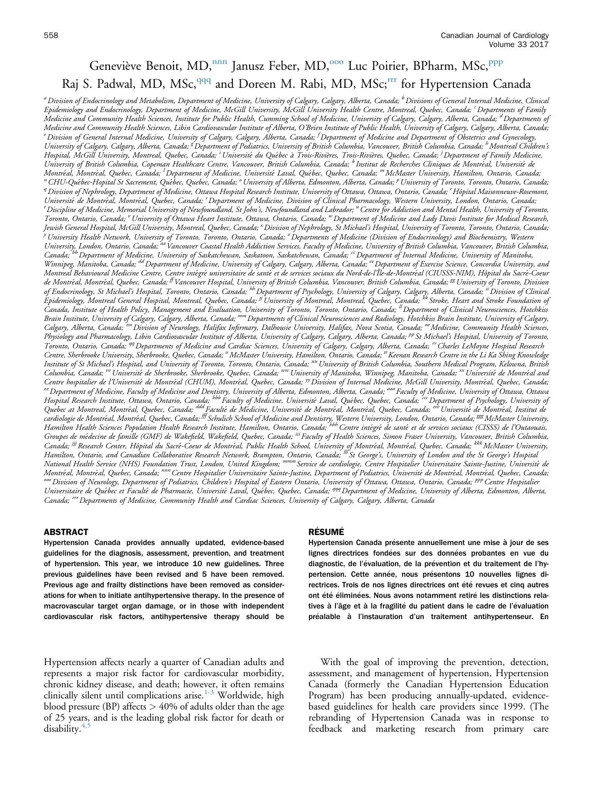# Geneviève Benoit, MD,<sup>nnn</sup> Janusz Feber, MD,<sup>000</sup> Luc Poirier, BPharm, MSc,<sup>ppp</sup> Raj S. Padwal, MD, MSc,<sup>qqq</sup> and Doreen M. Rabi, MD, MSc;<sup>rr</sup> for Hypertension Canada

a Division of Endocrinology and Metabolism, Department of Medicine, University of Calgary, Calgary, Alberta, Canada; <sup>b</sup> Divisions of General Internal Medicine, Clinical Epidemiology and Endocrinology, Department of Medicine, McGill University, McGill University Health Centre, Montreal, Quebec, Canada; <sup>c</sup> Departments of Family Medicine and Community Health Sciences, Institute for Public Health, Cumming School of Medicine, University of Calgary, Calgary, Alberta, Canada; <sup>d</sup> Departments of Medicine and Community Health Sciences, Libin Cardiovascular Institute of Alberta, O'Brien Institute of Public Health, University of Calgary, Calgary, Alberta, Canada; <sup>e</sup> Division of General Internal Medicine, University of Calgary, Calgary, Ålberta, Canada; <sup>f</sup> Department of Medicine and Department of Obstetrics and Gynecology, University of Calgary, Calgary, Alberta, Canada; <sup>g</sup> Department of Pediatrics, University of British Columbia, Vancouver, British Columbia, Canada; <sup>h</sup> Montreal Children's Hospital, McGill University, Montreal, Quebec, Canada; <sup>i</sup> Université du Québec à Trois-Rivières, Trois-Rivières, Quebec, Canada; <sup>i</sup> Department of Family Medicine, University of British Columbia, Copeman Healthcare Centre, Vancouver, British Columbia, Canada; <sup>k</sup>Institut de Recherches Cliniques de Montréal, Université de Montréal, Montréal, Quebec, Canada; <sup>i</sup> Department of Medicine, Université Laval, Québec, Quebec, Canada; <sup>m</sup> McMaster University, Hamilton, Ontario, Canada; Montréal, Montréal, Quebec, Canada; <sup>I</sup>Department of Medicine, Université Laval, Québec, Quebec, Canada; "" McMaster University, Hamilton, Ontario, Canada;<br>" CHU-Québec-Hopital St Sacrement, Québec, Quebec, Canada; <sup>o</sup> Uni Division of Nephrology, Department of Medicine, Ottawa Hospital Research Institute, University of Ottawa, Ottawa, Ontario, Canada; <sup>r</sup> Hôpital Maisonneuve-Rosemont, Université de Montréal, Montréal, Quebec, Canada; <sup>5</sup> Department of Medicine, Division of Clinical Pharmacology, Western University, London, Ontario, Canada; Université de Montréal, Montréal, Quebec, Canada; <sup>s</sup>Department of Medicine, Division of Clinical Pharmacology, Western University, London, Ontario, Canada;<br><sup>t</sup> Discipline of Medicine, Memorial University of Newfoundland, Toronto, Ontario, Canada; <sup>v</sup> University of Ottawa Heart Institute, Ottawa, Ontario, Canada; <sup>w</sup> Department of Medicine and Lady Davis Institute for Medical Research, Jewish General Hospital, McGill University, Montreal, Quebec, Canada; \* Division of Nephrology, St Michael's Hospital, University of Toronto, Toronto, Ontario, Canada;<br>I University Hoskh Network, University of Toronto, Tor University Health Network, University of Toronto, Toronto, Ontario, Canada; <sup>z</sup> Departments of Medicine (Division of Endocrinology) and Biochemistry, Western University, London, Ontario, Canada; <sup>aa</sup> Vancouver Coastal Health Addiction Services, Faculty of Medicine, University of British Columbia, Vancouver, British Columbia, Canada; <sup>'bb</sup> Department of Medicine, University of Saskatchewan, Saskatosas Saskatchewan, Canada; <sup>cc</sup> Department of Internal Medicine, University of Manitoba, Winnipeg, Manitoba, Canada; <sup>dd</sup> Department of Medicine, University of Calgary, Calgary, Alberta, Canada; <sup>ce</sup> Department of Exercise Science, Concordia University, ana Montreal Behavioural Medicine Centre, Centre integre universitaire de sante et de services sociaux du Nord-de-l'Île-de-Montreal (CIUSSS-NIM), Hôpital du Sacre-Coeur de Montréal, Montréal, Quebec, Canada; <sup>ff</sup>Vancouver Hospital, University of British Columbia, Vancouver, British Columbia, Canada; <sup>gg</sup> University of Toronto, Division of Endocrinology, St Michael's Hospital, Toronto, Ontario, Canada; <sup>hh</sup> Department of Psychology, University of Calgary, Calgary, Alberta, Canada; <sup>ii</sup>Division of Clinical Epidemiology, Montreal General Hospital, Montreal, Quebec, Canada; <sup>jj</sup>University of Montreal, Montreal, Quebec, Canada; <sup>kk</sup> Stroke, Heart and Stroke Foundation of Canada, Institute of Health Policy, Management and Evaluation, University of Toronto, Toronto, Ontario, Canada; llDepartment of Clinical Neurosciences, Hotchkiss Brain Institute, University of Calgary, Calgary, Alberta, Canada; <sup>mm</sup> Departments of Clinical Neurosciences and Radiology, Hotchkiss Brain Institute, University of Calgary, Calgary, Alberta, Canada; <sup>im</sup> Division of Neurology, Halifax Infirmary, Dalhousie University, Halifax, Nova Scotia, Canada; <sup>oo</sup> Medicine, Community Health Sciences, Physiology and Pharmacology, Libin Cardiovascular Institute of Alberta, University of Calgary, Calgary, Alberta, Canada; <sup>pp</sup> St Michael's Hospital, University of Toronto, Toronto, Ontario, Canada; <sup>qq</sup> Departments of Medicine and Cardiac Sciences, University of Calgary, Calgary, Alberta, Canada; "Charles LeMoyne Hospital Research Centre, Sherbrooke University, Sherbrooke, Quebec, Canada; <sup>ss</sup> McMaster University, Hamilton, Ontario, Canada; <sup>tt</sup> Keenan Research Centre in the Li Ka Shing Knowledge Institute of St Michael's Hospital, and University of Toronto, Toronto, Ontario, Čanada; ""University of British Columbia, Southern Medical Program, Kelowna, British Columbia, Canada; <sup>vv</sup>Université de Sherbrooke, Šherbrooke, Quebec, Canada; <sup>ww</sup>University of Manitoba, Winnipeg, Manitoba, Canada; <sup>xx</sup>Université de Montréal and<br>Centre hospitalier de l'Université de Montréal (CHUM), Mont Centre hospitalier de l'Université de Montréal (CHUM), Montréal, Quebec, Canada; <sup>yy</sup> Division of Internal Medicine, McGill University, Montréal, Quebec, Canada;<br><sup>22</sup> Department of Medicine, Faculty of Medicine and Dentist Hospital Research Institute, Ottawa, Ontario, Canada; <sup>bbb</sup> Faculty of Medicine, Universite Laval, Quebec, Quebec, Canada; <sup>ccc</sup>Department of Psychology, University of Quebec at Montreal, Montréal, Quebec, Canada; <sup>ddd</sup>Faculté de Medicine, Université de Montréal, Montréal, Quebec, Canada; <sup>ete</sup> Université de Montréal, Institut de cardiologie de Montréal, Montréal, Quebec, Canada; <sup>IIf</sup> Schulich School of Medicine and Dentistry, Western University, London, Ontario, Canada; <sup>ggg</sup> McMaster University, Hamilton Health Sciences Population Health Research Institute, Hamilton, Ontario, Canada; <sup>"hhh</sup> Centre intégré<sup>"</sup> de santé et de services sociaux (CISSS) de l'Outaouais, Groupes de médecine de famille (GMF) de Wakefield, Wakefield, Quebec, Canada; <sup>iii</sup> Faculty of Health Sciences, Simon Fraser University, Vancouver, British Columbia, Canada; <sup>jjj</sup> Research Center, Hôpital du Sacré-Coeur de Montréal, Public Health School, University of Montréal, Montréal, Quebec, Canada; <sup>kkk</sup> McMaster University, Hamilton, Ontario, and Canadian Collaborative Research Network, Brampton, Ontario, Canada; <sup>att</sup>St George's, University of London and the St George's Hospital National Health Service (NHS) Foundation Trust, London, United Kingdom; <sup>mmm</sup> Service de cardiologie, Centre Hospitalier Universitaire Sainte-Justine, Université de Montréal, Montréal, Quebec, Canada; <sup>nnn</sup> Centre Hospitalier Universitaire Sainte-Justine, Department of Pediatrics, Université de Montréal, Montréal, Quebec, Canada;<br><sup>000</sup> Division of Neurology, Department of Pediatrics, Universitaire de Québec et Faculté de Pharmacie, Université Laval, Québec, Quebec, Canada; <sup>494</sup> Department of Medicine, University of Alberta, Edmonton, Alberta, Canada; <sup>rrr</sup> Departments of Medicine, Community Health and Cardiac Sciences, University of Calgary, Calgary, Alberta, Canada

#### ABSTRACT

Hypertension Canada provides annually updated, evidence-based guidelines for the diagnosis, assessment, prevention, and treatment of hypertension. This year, we introduce 10 new guidelines. Three previous guidelines have been revised and 5 have been removed. Previous age and frailty distinctions have been removed as considerations for when to initiate antihypertensive therapy. In the presence of macrovascular target organ damage, or in those with independent cardiovascular risk factors, antihypertensive therapy should be

#### **RÉSUMÉ**

Hypertension Canada présente annuellement une mise à jour de ses lignes directrices fondées sur des données probantes en vue du diagnostic, de l'évaluation, de la prévention et du traitement de l'hypertension. Cette année, nous présentons 10 nouvelles lignes directrices. Trois de nos lignes directrices ont été revues et cinq autres ont été éliminées. Nous avons notamment retiré les distinctions relatives à l'âge et à la fragilité du patient dans le cadre de l'évaluation préalable à l'instauration d'un traitement antihypertenseur. En

Hypertension affects nearly a quarter of Canadian adults and represents a major risk factor for cardiovascular morbidity, chronic kidney disease, and death; however, it often remains clinically silent until complications arise. $1-3$  Worldwide, high blood pressure (BP) affects  $> 40\%$  of adults older than the age of 25 years, and is the leading global risk factor for death or  $disability.<sup>4</sup>$ 

With the goal of improving the prevention, detection, assessment, and management of hypertension, Hypertension Canada (formerly the Canadian Hypertension Education Program) has been producing annually-updated, evidencebased guidelines for health care providers since 1999. (The rebranding of Hypertension Canada was in response to feedback and marketing research from primary care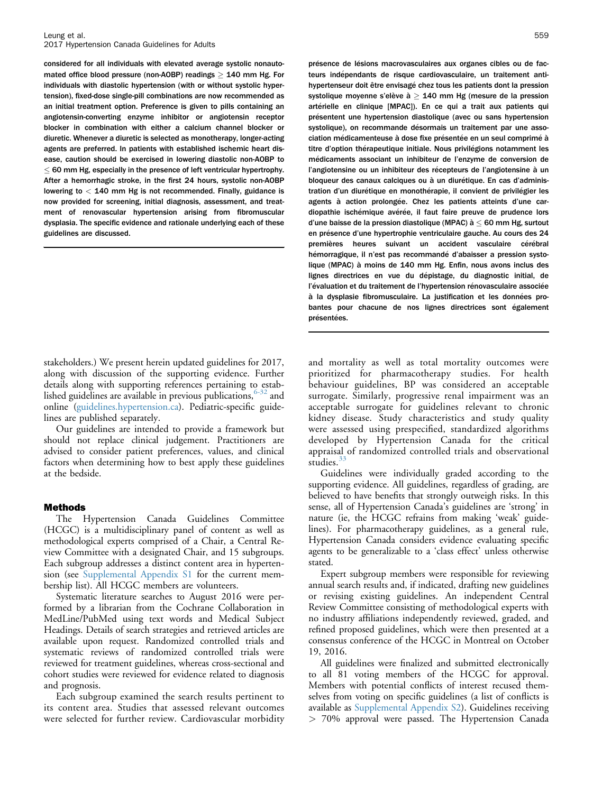considered for all individuals with elevated average systolic nonautomated office blood pressure (non-AOBP) readings  $\geq$  140 mm Hg. For individuals with diastolic hypertension (with or without systolic hypertension), fixed-dose single-pill combinations are now recommended as an initial treatment option. Preference is given to pills containing an angiotensin-converting enzyme inhibitor or angiotensin receptor blocker in combination with either a calcium channel blocker or diuretic. Whenever a diuretic is selected as monotherapy, longer-acting agents are preferred. In patients with established ischemic heart disease, caution should be exercised in lowering diastolic non-AOBP to  $<$  60 mm Hg, especially in the presence of left ventricular hypertrophy. After a hemorrhagic stroke, in the first 24 hours, systolic non-AOBP lowering to  $<$  140 mm Hg is not recommended. Finally, guidance is now provided for screening, initial diagnosis, assessment, and treatment of renovascular hypertension arising from fibromuscular dysplasia. The specific evidence and rationale underlying each of these guidelines are discussed.

stakeholders.) We present herein updated guidelines for 2017, along with discussion of the supporting evidence. Further details along with supporting references pertaining to established guidelines are available in previous publications,  $6-32$  and online ([guidelines.hypertension.ca](http://guidelines.hypertension.ca)). Pediatric-specific guidelines are published separately.

Our guidelines are intended to provide a framework but should not replace clinical judgement. Practitioners are advised to consider patient preferences, values, and clinical factors when determining how to best apply these guidelines at the bedside.

#### Methods

The Hypertension Canada Guidelines Committee (HCGC) is a multidisciplinary panel of content as well as methodological experts comprised of a Chair, a Central Review Committee with a designated Chair, and 15 subgroups. Each subgroup addresses a distinct content area in hypertension (see Supplemental Appendix S1 for the current membership list). All HCGC members are volunteers.

Systematic literature searches to August 2016 were performed by a librarian from the Cochrane Collaboration in MedLine/PubMed using text words and Medical Subject Headings. Details of search strategies and retrieved articles are available upon request. Randomized controlled trials and systematic reviews of randomized controlled trials were reviewed for treatment guidelines, whereas cross-sectional and cohort studies were reviewed for evidence related to diagnosis and prognosis.

Each subgroup examined the search results pertinent to its content area. Studies that assessed relevant outcomes were selected for further review. Cardiovascular morbidity présence de lésions macrovasculaires aux organes cibles ou de facteurs indépendants de risque cardiovasculaire, un traitement antihypertenseur doit être envisagé chez tous les patients dont la pression systolique moyenne s'elève à  $\geq$  140 mm Hg (mesure de la pression artérielle en clinique [MPAC]). En ce qui a trait aux patients qui présentent une hypertension diastolique (avec ou sans hypertension systolique), on recommande désormais un traitement par une association médicamenteuse à dose fixe présentée en un seul comprimé à titre d'option thérapeutique initiale. Nous privilégions notamment les médicaments associant un inhibiteur de l'enzyme de conversion de l'angiotensine ou un inhibiteur des récepteurs de l'angiotensine à un bloqueur des canaux calciques ou à un diurétique. En cas d'administration d'un diurétique en monothérapie, il convient de privilégier les agents à action prolongée. Chez les patients atteints d'une cardiopathie ischémique avérée, il faut faire preuve de prudence lors d'une baisse de la pression diastolique (MPAC) à  $<$  60 mm Hg, surtout en présence d'une hypertrophie ventriculaire gauche. Au cours des 24 premières heures suivant un accident vasculaire cérébral hémorragique, il n'est pas recommandé d'abaisser a pression systolique (MPAC) à moins de 140 mm Hg. Enfin, nous avons inclus des lignes directrices en vue du dépistage, du diagnostic initial, de l'évaluation et du traitement de l'hypertension rénovasculaire associée à la dysplasie fibromusculaire. La justification et les données probantes pour chacune de nos lignes directrices sont également présentées.

and mortality as well as total mortality outcomes were prioritized for pharmacotherapy studies. For health behaviour guidelines, BP was considered an acceptable surrogate. Similarly, progressive renal impairment was an acceptable surrogate for guidelines relevant to chronic kidney disease. Study characteristics and study quality were assessed using prespecified, standardized algorithms developed by Hypertension Canada for the critical appraisal of randomized controlled trials and observational studies.<sup>[33](#page-17-0)</sup>

Guidelines were individually graded according to the supporting evidence. All guidelines, regardless of grading, are believed to have benefits that strongly outweigh risks. In this sense, all of Hypertension Canada's guidelines are 'strong' in nature (ie, the HCGC refrains from making 'weak' guidelines). For pharmacotherapy guidelines, as a general rule, Hypertension Canada considers evidence evaluating specific agents to be generalizable to a 'class effect' unless otherwise stated.

Expert subgroup members were responsible for reviewing annual search results and, if indicated, drafting new guidelines or revising existing guidelines. An independent Central Review Committee consisting of methodological experts with no industry affiliations independently reviewed, graded, and refined proposed guidelines, which were then presented at a consensus conference of the HCGC in Montreal on October 19, 2016.

All guidelines were finalized and submitted electronically to all 81 voting members of the HCGC for approval. Members with potential conflicts of interest recused themselves from voting on specific guidelines (a list of conflicts is available as Supplemental Appendix S2). Guidelines receiving > 70% approval were passed. The Hypertension Canada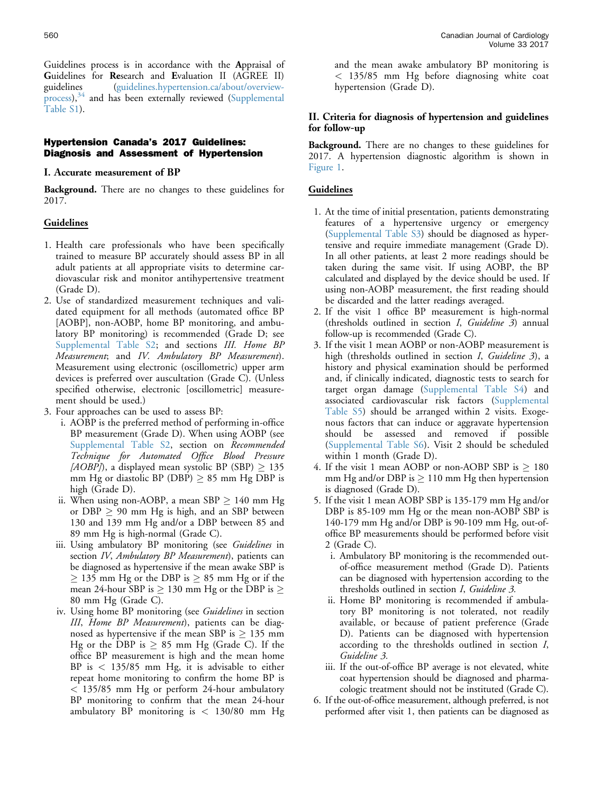Guidelines process is in accordance with the Appraisal of Guidelines for Research and Evaluation II (AGREE II) guidelines [\(guidelines.hypertension.ca/about/overview](http://guidelines.hypertension.ca/about/overview-process) $process$ ), $34$  and has been externally reviewed (Supplemental Table S1).

#### Hypertension Canada's 2017 Guidelines: Diagnosis and Assessment of Hypertension

#### I. Accurate measurement of BP

Background. There are no changes to these guidelines for 2017.

## Guidelines

- 1. Health care professionals who have been specifically trained to measure BP accurately should assess BP in all adult patients at all appropriate visits to determine cardiovascular risk and monitor antihypertensive treatment (Grade D).
- 2. Use of standardized measurement techniques and validated equipment for all methods (automated office BP [AOBP], non-AOBP, home BP monitoring, and ambulatory BP monitoring) is recommended (Grade D; see Supplemental Table S2; and sections III. Home BP Measurement; and IV. Ambulatory BP Measurement). Measurement using electronic (oscillometric) upper arm devices is preferred over auscultation (Grade C). (Unless specified otherwise, electronic [oscillometric] measurement should be used.)
- 3. Four approaches can be used to assess BP:
	- i. AOBP is the preferred method of performing in-office BP measurement (Grade D). When using AOBP (see Supplemental Table S2, section on Recommended Technique for Automated Office Blood Pressure [AOBP]), a displayed mean systolic BP (SBP)  $\geq$  135 mm Hg or diastolic BP (DBP)  $\geq 85$  mm Hg DBP is high (Grade D).
	- ii. When using non-AOBP, a mean  $SBP \ge 140$  mm Hg or  $DBP \geq 90$  mm Hg is high, and an SBP between 130 and 139 mm Hg and/or a DBP between 85 and 89 mm Hg is high-normal (Grade C).
	- iii. Using ambulatory BP monitoring (see Guidelines in section IV, Ambulatory BP Measurement), patients can be diagnosed as hypertensive if the mean awake SBP is  $\geq$  135 mm Hg or the DBP is  $\geq$  85 mm Hg or if the mean 24-hour SBP is  $\geq$  130 mm Hg or the DBP is  $\geq$ 80 mm Hg (Grade C).
	- iv. Using home BP monitoring (see *Guidelines* in section III, Home BP Measurement), patients can be diagnosed as hypertensive if the mean SBP is  $\geq 135$  mm  $Hg$  or the DBP is  $\geq 85$  mm Hg (Grade C). If the office BP measurement is high and the mean home BP is < 135/85 mm Hg, it is advisable to either repeat home monitoring to confirm the home BP is < 135/85 mm Hg or perform 24-hour ambulatory BP monitoring to confirm that the mean 24-hour ambulatory  $BP$  monitoring is  $< 130/80$  mm Hg

and the mean awake ambulatory BP monitoring is < 135/85 mm Hg before diagnosing white coat hypertension (Grade D).

## II. Criteria for diagnosis of hypertension and guidelines for follow-up

Background. There are no changes to these guidelines for 2017. A hypertension diagnostic algorithm is shown in [Figure 1](#page-6-0).

- 1. At the time of initial presentation, patients demonstrating features of a hypertensive urgency or emergency (Supplemental Table S3) should be diagnosed as hypertensive and require immediate management (Grade D). In all other patients, at least 2 more readings should be taken during the same visit. If using AOBP, the BP calculated and displayed by the device should be used. If using non-AOBP measurement, the first reading should be discarded and the latter readings averaged.
- 2. If the visit 1 office BP measurement is high-normal (thresholds outlined in section  $I$ , *Guideline*  $3$ ) annual follow-up is recommended (Grade C).
- 3. If the visit 1 mean AOBP or non-AOBP measurement is high (thresholds outlined in section I, Guideline 3), a history and physical examination should be performed and, if clinically indicated, diagnostic tests to search for target organ damage (Supplemental Table S4) and associated cardiovascular risk factors (Supplemental Table S5) should be arranged within 2 visits. Exogenous factors that can induce or aggravate hypertension should be assessed and removed if possible (Supplemental Table S6). Visit 2 should be scheduled within 1 month (Grade D).
- 4. If the visit 1 mean AOBP or non-AOBP SBP is  $\geq 180$ mm Hg and/or DBP is  $\geq 110$  mm Hg then hypertension is diagnosed (Grade D).
- 5. If the visit 1 mean AOBP SBP is 135-179 mm Hg and/or DBP is 85-109 mm Hg or the mean non-AOBP SBP is 140-179 mm Hg and/or DBP is 90-109 mm Hg, out-ofoffice BP measurements should be performed before visit 2 (Grade C).
	- i. Ambulatory BP monitoring is the recommended outof-office measurement method (Grade D). Patients can be diagnosed with hypertension according to the thresholds outlined in section I, Guideline 3.
	- ii. Home BP monitoring is recommended if ambulatory BP monitoring is not tolerated, not readily available, or because of patient preference (Grade D). Patients can be diagnosed with hypertension according to the thresholds outlined in section I, Guideline 3.
	- iii. If the out-of-office BP average is not elevated, white coat hypertension should be diagnosed and pharmacologic treatment should not be instituted (Grade C).
- 6. If the out-of-office measurement, although preferred, is not performed after visit 1, then patients can be diagnosed as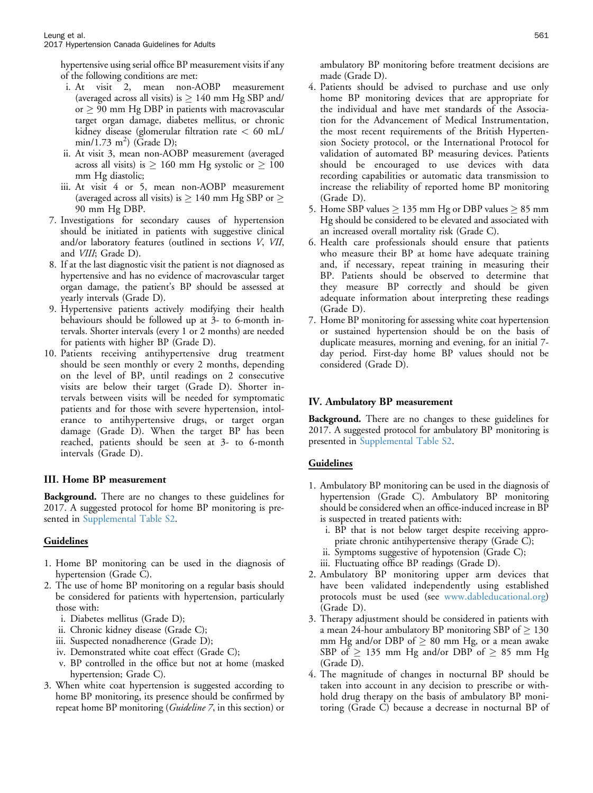hypertensive using serial office BP measurement visits if any of the following conditions are met:

- i. At visit 2, mean non-AOBP measurement (averaged across all visits) is  $\geq 140$  mm Hg SBP and/  $\text{or } \geq 90 \text{ mm Hg DBP in patients with macrovascular.}$ target organ damage, diabetes mellitus, or chronic kidney disease (glomerular filtration rate < 60 mL/  $min/1.73$  m<sup>2</sup>) (Grade D);
- ii. At visit 3, mean non-AOBP measurement (averaged across all visits) is  $\geq 160$  mm Hg systolic or  $\geq 100$ mm Hg diastolic;
- iii. At visit 4 or 5, mean non-AOBP measurement (averaged across all visits) is  $\geq 140$  mm Hg SBP or  $\geq$ 90 mm Hg DBP.
- 7. Investigations for secondary causes of hypertension should be initiated in patients with suggestive clinical and/or laboratory features (outlined in sections V, VII, and VIII; Grade D).
- 8. If at the last diagnostic visit the patient is not diagnosed as hypertensive and has no evidence of macrovascular target organ damage, the patient's BP should be assessed at yearly intervals (Grade D).
- 9. Hypertensive patients actively modifying their health behaviours should be followed up at 3- to 6-month intervals. Shorter intervals (every 1 or 2 months) are needed for patients with higher BP (Grade D).
- 10. Patients receiving antihypertensive drug treatment should be seen monthly or every 2 months, depending on the level of BP, until readings on 2 consecutive visits are below their target (Grade D). Shorter intervals between visits will be needed for symptomatic patients and for those with severe hypertension, intolerance to antihypertensive drugs, or target organ damage (Grade D). When the target BP has been reached, patients should be seen at 3- to 6-month intervals (Grade D).

# III. Home BP measurement

Background. There are no changes to these guidelines for 2017. A suggested protocol for home BP monitoring is presented in Supplemental Table S2.

#### Guidelines

- 1. Home BP monitoring can be used in the diagnosis of hypertension (Grade C).
- 2. The use of home BP monitoring on a regular basis should be considered for patients with hypertension, particularly those with:
	- i. Diabetes mellitus (Grade D);
	- ii. Chronic kidney disease (Grade C);
	- iii. Suspected nonadherence (Grade D);
	- iv. Demonstrated white coat effect (Grade C);
	- v. BP controlled in the office but not at home (masked hypertension; Grade C).
- 3. When white coat hypertension is suggested according to home BP monitoring, its presence should be confirmed by repeat home BP monitoring (*Guideline* 7, in this section) or

ambulatory BP monitoring before treatment decisions are made (Grade D).

- 4. Patients should be advised to purchase and use only home BP monitoring devices that are appropriate for the individual and have met standards of the Association for the Advancement of Medical Instrumentation, the most recent requirements of the British Hypertension Society protocol, or the International Protocol for validation of automated BP measuring devices. Patients should be encouraged to use devices with data recording capabilities or automatic data transmission to increase the reliability of reported home BP monitoring (Grade D).
- 5. Home SBP values  $\geq 135$  mm Hg or DBP values  $\geq 85$  mm Hg should be considered to be elevated and associated with an increased overall mortality risk (Grade C).
- 6. Health care professionals should ensure that patients who measure their BP at home have adequate training and, if necessary, repeat training in measuring their BP. Patients should be observed to determine that they measure BP correctly and should be given adequate information about interpreting these readings (Grade D).
- 7. Home BP monitoring for assessing white coat hypertension or sustained hypertension should be on the basis of duplicate measures, morning and evening, for an initial 7 day period. First-day home BP values should not be considered (Grade D).

# IV. Ambulatory BP measurement

**Background.** There are no changes to these guidelines for 2017. A suggested protocol for ambulatory BP monitoring is presented in Supplemental Table S2.

- 1. Ambulatory BP monitoring can be used in the diagnosis of hypertension (Grade C). Ambulatory BP monitoring should be considered when an office-induced increase in BP is suspected in treated patients with:
	- i. BP that is not below target despite receiving appropriate chronic antihypertensive therapy (Grade C);
	- ii. Symptoms suggestive of hypotension (Grade C);
	- iii. Fluctuating office BP readings (Grade D).
- 2. Ambulatory BP monitoring upper arm devices that have been validated independently using established protocols must be used (see [www.dableducational.org](http://www.dableducational.org)) (Grade D).
- 3. Therapy adjustment should be considered in patients with a mean 24-hour ambulatory BP monitoring SBP of  $\geq 130$ mm Hg and/or DBP of  $\geq 80$  mm Hg, or a mean awake SBP of  $\geq$  135 mm Hg and/or DBP of  $\geq$  85 mm Hg (Grade D).
- 4. The magnitude of changes in nocturnal BP should be taken into account in any decision to prescribe or withhold drug therapy on the basis of ambulatory BP monitoring (Grade C) because a decrease in nocturnal BP of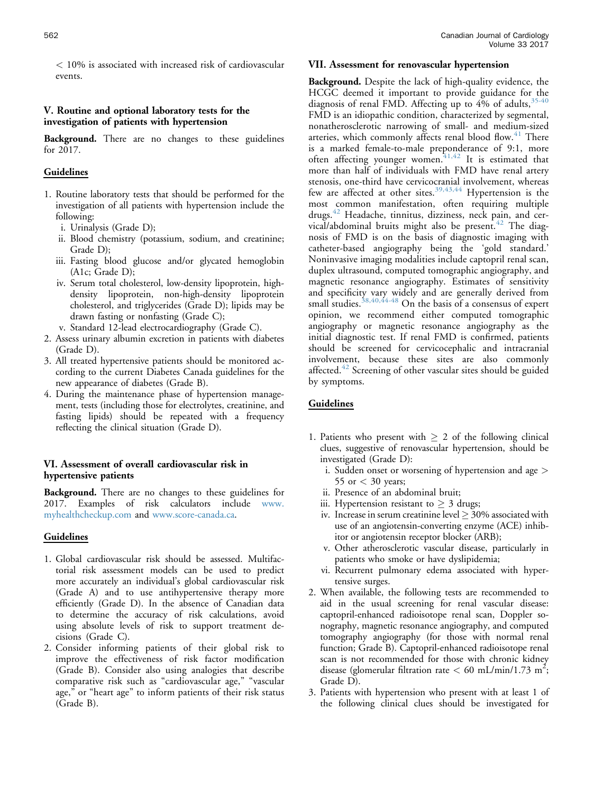< 10% is associated with increased risk of cardiovascular events.

### V. Routine and optional laboratory tests for the investigation of patients with hypertension

Background. There are no changes to these guidelines for 2017.

## **Guidelines**

- 1. Routine laboratory tests that should be performed for the investigation of all patients with hypertension include the following:
	- i. Urinalysis (Grade D);
	- ii. Blood chemistry (potassium, sodium, and creatinine; Grade D);
	- iii. Fasting blood glucose and/or glycated hemoglobin (A1c; Grade D);
	- iv. Serum total cholesterol, low-density lipoprotein, highdensity lipoprotein, non-high-density lipoprotein cholesterol, and triglycerides (Grade D); lipids may be drawn fasting or nonfasting (Grade C);
	- v. Standard 12-lead electrocardiography (Grade C).
- 2. Assess urinary albumin excretion in patients with diabetes (Grade D).
- 3. All treated hypertensive patients should be monitored according to the current Diabetes Canada guidelines for the new appearance of diabetes (Grade B).
- 4. During the maintenance phase of hypertension management, tests (including those for electrolytes, creatinine, and fasting lipids) should be repeated with a frequency reflecting the clinical situation (Grade D).

#### VI. Assessment of overall cardiovascular risk in hypertensive patients

Background. There are no changes to these guidelines for 2017. Examples of risk calculators include [www.](http://www.myhealthcheckup.com) [myhealthcheckup.com](http://www.myhealthcheckup.com) and [www.score-canada.ca](http://www.score-canada.ca).

#### Guidelines

- 1. Global cardiovascular risk should be assessed. Multifactorial risk assessment models can be used to predict more accurately an individual's global cardiovascular risk (Grade A) and to use antihypertensive therapy more efficiently (Grade D). In the absence of Canadian data to determine the accuracy of risk calculations, avoid using absolute levels of risk to support treatment decisions (Grade C).
- 2. Consider informing patients of their global risk to improve the effectiveness of risk factor modification (Grade B). Consider also using analogies that describe comparative risk such as "cardiovascular age," "vascular age," or "heart age" to inform patients of their risk status (Grade B).

#### VII. Assessment for renovascular hypertension

Background. Despite the lack of high-quality evidence, the HCGC deemed it important to provide guidance for the diagnosis of renal FMD. Affecting up to  $4\%$  of adults,  $35-40$ FMD is an idiopathic condition, characterized by segmental, nonatherosclerotic narrowing of small- and medium-sized arteries, which commonly affects renal blood flow.<sup>[41](#page-17-0)</sup> There is a marked female-to-male preponderance of 9:1, more often affecting younger women.<sup>[41,42](#page-17-0)</sup> It is estimated that more than half of individuals with FMD have renal artery stenosis, one-third have cervicocranial involvement, whereas few are affected at other sites.<sup>[39,43,44](#page-17-0)</sup> Hypertension is the most common manifestation, often requiring multiple drugs.[42](#page-17-0) Headache, tinnitus, dizziness, neck pain, and cer-vical/abdominal bruits might also be present.<sup>[42](#page-17-0)</sup> The diagnosis of FMD is on the basis of diagnostic imaging with catheter-based angiography being the 'gold standard.' Noninvasive imaging modalities include captopril renal scan, duplex ultrasound, computed tomographic angiography, and magnetic resonance angiography. Estimates of sensitivity and specificity vary widely and are generally derived from small studies.  $^{38,40,44-48}$  $^{38,40,44-48}$  $^{38,40,44-48}$  On the basis of a consensus of expert opinion, we recommend either computed tomographic angiography or magnetic resonance angiography as the initial diagnostic test. If renal FMD is confirmed, patients should be screened for cervicocephalic and intracranial involvement, because these sites are also commonly affected.<sup>[42](#page-17-0)</sup> Screening of other vascular sites should be guided by symptoms.

- 1. Patients who present with  $\geq 2$  of the following clinical clues, suggestive of renovascular hypertension, should be investigated (Grade D):
	- i. Sudden onset or worsening of hypertension and age > 55 or  $<$  30 years;
	- ii. Presence of an abdominal bruit;
	- iii. Hypertension resistant to  $\geq 3$  drugs;
	- iv. Increase in serum creatinine level  $\geq 30\%$  associated with use of an angiotensin-converting enzyme (ACE) inhibitor or angiotensin receptor blocker (ARB);
	- v. Other atherosclerotic vascular disease, particularly in patients who smoke or have dyslipidemia;
	- vi. Recurrent pulmonary edema associated with hypertensive surges.
- 2. When available, the following tests are recommended to aid in the usual screening for renal vascular disease: captopril-enhanced radioisotope renal scan, Doppler sonography, magnetic resonance angiography, and computed tomography angiography (for those with normal renal function; Grade B). Captopril-enhanced radioisotope renal scan is not recommended for those with chronic kidney disease (glomerular filtration rate  $<$  60 mL/min/1.73 m<sup>2</sup>; Grade D).
- 3. Patients with hypertension who present with at least 1 of the following clinical clues should be investigated for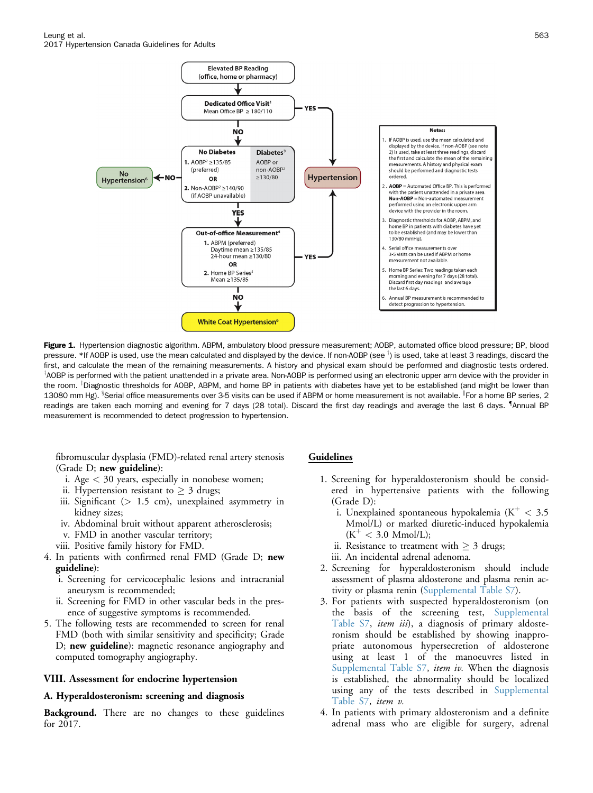<span id="page-6-0"></span>

Figure 1. Hypertension diagnostic algorithm. ABPM, ambulatory blood pressure measurement; AOBP, automated office blood pressure; BP, blood pressure. \*If AOBP is used, use the mean calculated and displayed by the device. If non-AOBP (see  $\bar{\ }$ ) is used, take at least 3 readings, discard the first, and calculate the mean of the remaining measurements. A history and physical exam should be performed and diagnostic tests ordered. <sup>†</sup>AOBP is performed with the patient unattended in a private area. Non-AOBP is performed using an electronic upper arm device with the provider in the room. <sup>‡</sup>Diagnostic thresholds for AOBP, ABPM, and home BP in patients with diabetes have yet to be established (and might be lower than 13080 mm Hg).  $^{\S}$ Serial office measurements over 3-5 visits can be used if ABPM or home measurement is not available.  $^{\S}$ For a home BP series, 2 readings are taken each morning and evening for 7 days (28 total). Discard the first day readings and average the last 6 days. <sup>¶</sup>Annual BP measurement is recommended to detect progression to hypertension.

fibromuscular dysplasia (FMD)-related renal artery stenosis (Grade D; new guideline):

- i. Age < 30 years, especially in nonobese women;
- ii. Hypertension resistant to  $\geq 3$  drugs;
- iii. Significant ( $> 1.5$  cm), unexplained asymmetry in kidney sizes;
- iv. Abdominal bruit without apparent atherosclerosis;
- v. FMD in another vascular territory;
- viii. Positive family history for FMD.
- 4. In patients with confirmed renal FMD (Grade D; new guideline):
	- i. Screening for cervicocephalic lesions and intracranial aneurysm is recommended;
	- ii. Screening for FMD in other vascular beds in the presence of suggestive symptoms is recommended.
- 5. The following tests are recommended to screen for renal FMD (both with similar sensitivity and specificity; Grade D; **new guideline**): magnetic resonance angiography and computed tomography angiography.

#### VIII. Assessment for endocrine hypertension

#### A. Hyperaldosteronism: screening and diagnosis

**Background.** There are no changes to these guidelines for 2017.

- 1. Screening for hyperaldosteronism should be considered in hypertensive patients with the following (Grade D):
	- i. Unexplained spontaneous hypokalemia ( $K^+ < 3.5$ Mmol/L) or marked diuretic-induced hypokalemia  $(K^+ < 3.0 \text{ Mmol/L});$
	- ii. Resistance to treatment with  $\geq 3$  drugs;
	- iii. An incidental adrenal adenoma.
- 2. Screening for hyperaldosteronism should include assessment of plasma aldosterone and plasma renin activity or plasma renin (Supplemental Table S7).
- 3. For patients with suspected hyperaldosteronism (on the basis of the screening test, Supplemental Table S7, item iii), a diagnosis of primary aldosteronism should be established by showing inappropriate autonomous hypersecretion of aldosterone using at least 1 of the manoeuvres listed in Supplemental Table S7, *item iv*. When the diagnosis is established, the abnormality should be localized using any of the tests described in Supplemental Table S7, item v.
- 4. In patients with primary aldosteronism and a definite adrenal mass who are eligible for surgery, adrenal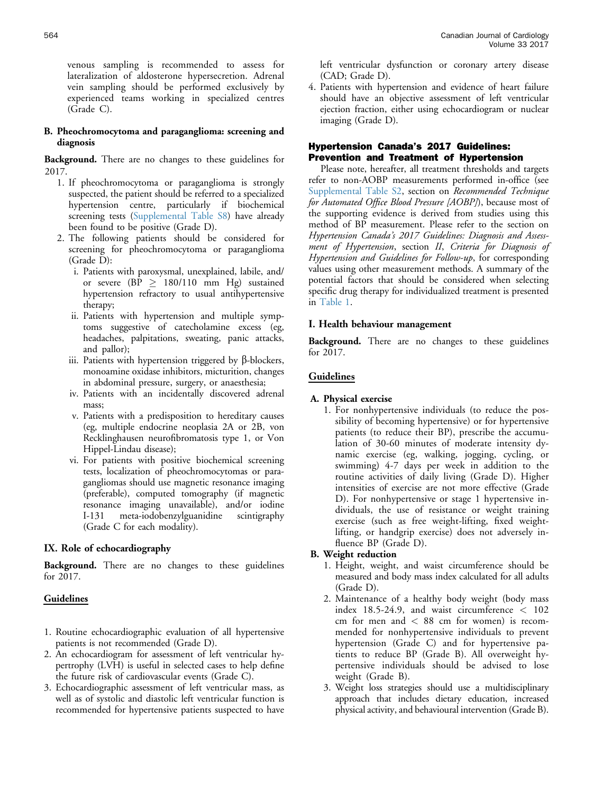venous sampling is recommended to assess for lateralization of aldosterone hypersecretion. Adrenal vein sampling should be performed exclusively by experienced teams working in specialized centres (Grade C).

## B. Pheochromocytoma and paraganglioma: screening and diagnosis

Background. There are no changes to these guidelines for 2017.

- 1. If pheochromocytoma or paraganglioma is strongly suspected, the patient should be referred to a specialized hypertension centre, particularly if biochemical screening tests (Supplemental Table S8) have already been found to be positive (Grade D).
- 2. The following patients should be considered for screening for pheochromocytoma or paraganglioma (Grade D):
	- i. Patients with paroxysmal, unexplained, labile, and/ or severe  $(BP \ge 180/110$  mm Hg) sustained hypertension refractory to usual antihypertensive therapy;
	- ii. Patients with hypertension and multiple symptoms suggestive of catecholamine excess (eg, headaches, palpitations, sweating, panic attacks, and pallor);
	- iii. Patients with hypertension triggered by  $\beta$ -blockers, monoamine oxidase inhibitors, micturition, changes in abdominal pressure, surgery, or anaesthesia;
	- iv. Patients with an incidentally discovered adrenal mass;
	- v. Patients with a predisposition to hereditary causes (eg, multiple endocrine neoplasia 2A or 2B, von Recklinghausen neurofibromatosis type 1, or Von Hippel-Lindau disease);
	- vi. For patients with positive biochemical screening tests, localization of pheochromocytomas or paragangliomas should use magnetic resonance imaging (preferable), computed tomography (if magnetic resonance imaging unavailable), and/or iodine I-131 meta-iodobenzylguanidine scintigraphy (Grade C for each modality).

# IX. Role of echocardiography

Background. There are no changes to these guidelines for 2017.

# Guidelines

- 1. Routine echocardiographic evaluation of all hypertensive patients is not recommended (Grade D).
- 2. An echocardiogram for assessment of left ventricular hypertrophy (LVH) is useful in selected cases to help define the future risk of cardiovascular events (Grade C).
- 3. Echocardiographic assessment of left ventricular mass, as well as of systolic and diastolic left ventricular function is recommended for hypertensive patients suspected to have

left ventricular dysfunction or coronary artery disease (CAD; Grade D).

4. Patients with hypertension and evidence of heart failure should have an objective assessment of left ventricular ejection fraction, either using echocardiogram or nuclear imaging (Grade D).

## Hypertension Canada's 2017 Guidelines: Prevention and Treatment of Hypertension

Please note, hereafter, all treatment thresholds and targets refer to non-AOBP measurements performed in-office (see Supplemental Table S2, section on Recommended Technique for Automated Office Blood Pressure [AOBP]), because most of the supporting evidence is derived from studies using this method of BP measurement. Please refer to the section on Hypertension Canada's 2017 Guidelines: Diagnosis and Assessment of Hypertension, section II, Criteria for Diagnosis of Hypertension and Guidelines for Follow-up, for corresponding values using other measurement methods. A summary of the potential factors that should be considered when selecting specific drug therapy for individualized treatment is presented in [Table 1](#page-8-0).

# I. Health behaviour management

Background. There are no changes to these guidelines for 2017.

# Guidelines

# A. Physical exercise

1. For nonhypertensive individuals (to reduce the possibility of becoming hypertensive) or for hypertensive patients (to reduce their BP), prescribe the accumulation of 30-60 minutes of moderate intensity dynamic exercise (eg, walking, jogging, cycling, or swimming) 4-7 days per week in addition to the routine activities of daily living (Grade D). Higher intensities of exercise are not more effective (Grade D). For nonhypertensive or stage 1 hypertensive individuals, the use of resistance or weight training exercise (such as free weight-lifting, fixed weightlifting, or handgrip exercise) does not adversely influence BP (Grade D).

# B. Weight reduction

- 1. Height, weight, and waist circumference should be measured and body mass index calculated for all adults (Grade D).
- 2. Maintenance of a healthy body weight (body mass index 18.5-24.9, and waist circumference < 102 cm for men and  $< 88$  cm for women) is recommended for nonhypertensive individuals to prevent hypertension (Grade C) and for hypertensive patients to reduce BP (Grade B). All overweight hypertensive individuals should be advised to lose weight (Grade B).
- 3. Weight loss strategies should use a multidisciplinary approach that includes dietary education, increased physical activity, and behavioural intervention (Grade B).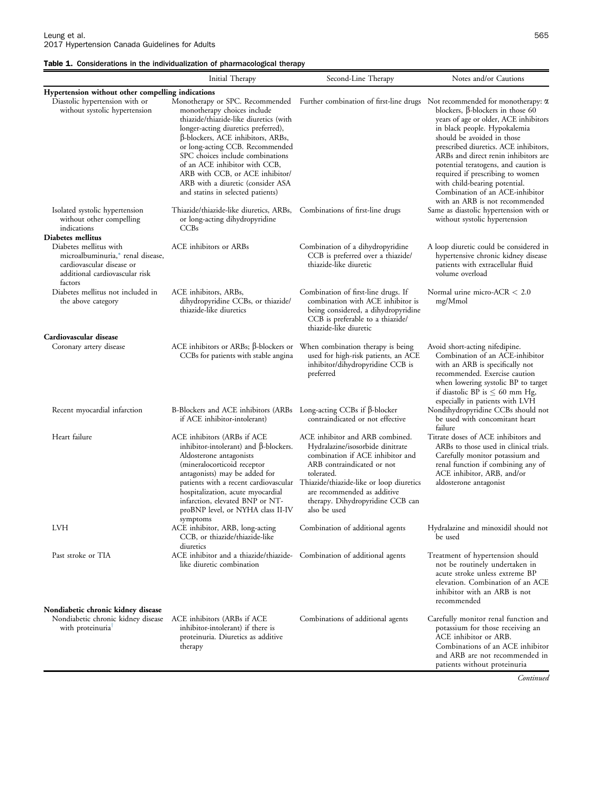# <span id="page-8-0"></span>Table 1. Considerations in the individualization of pharmacological therapy

|                                                                                                                                                            | Initial Therapy                                                                                                                                                                                                                                                                                                                                                               | Second-Line Therapy                                                                                                                                                                                                                                                                                                      | Notes and/or Cautions                                                                                                                                                                                                                                                                                                                                                                                             |
|------------------------------------------------------------------------------------------------------------------------------------------------------------|-------------------------------------------------------------------------------------------------------------------------------------------------------------------------------------------------------------------------------------------------------------------------------------------------------------------------------------------------------------------------------|--------------------------------------------------------------------------------------------------------------------------------------------------------------------------------------------------------------------------------------------------------------------------------------------------------------------------|-------------------------------------------------------------------------------------------------------------------------------------------------------------------------------------------------------------------------------------------------------------------------------------------------------------------------------------------------------------------------------------------------------------------|
| Hypertension without other compelling indications                                                                                                          |                                                                                                                                                                                                                                                                                                                                                                               |                                                                                                                                                                                                                                                                                                                          |                                                                                                                                                                                                                                                                                                                                                                                                                   |
| Diastolic hypertension with or<br>without systolic hypertension                                                                                            | monotherapy choices include<br>thiazide/thiazide-like diuretics (with<br>longer-acting diuretics preferred),<br>$\beta$ -blockers, ACE inhibitors, ARBs,<br>or long-acting CCB. Recommended<br>SPC choices include combinations<br>of an ACE inhibitor with CCB,<br>ARB with CCB, or ACE inhibitor/<br>ARB with a diuretic (consider ASA<br>and statins in selected patients) | Monotherapy or SPC. Recommended Further combination of first-line drugs Not recommended for monotherapy: α                                                                                                                                                                                                               | blockers, $\beta$ -blockers in those 60<br>years of age or older, ACE inhibitors<br>in black people. Hypokalemia<br>should be avoided in those<br>prescribed diuretics. ACE inhibitors,<br>ARBs and direct renin inhibitors are<br>potential teratogens, and caution is<br>required if prescribing to women<br>with child-bearing potential.<br>Combination of an ACE-inhibitor<br>with an ARB is not recommended |
| Isolated systolic hypertension<br>without other compelling<br>indications                                                                                  | Thiazide/thiazide-like diuretics, ARBs,<br>or long-acting dihydropyridine<br>CCBs                                                                                                                                                                                                                                                                                             | Combinations of first-line drugs                                                                                                                                                                                                                                                                                         | Same as diastolic hypertension with or<br>without systolic hypertension                                                                                                                                                                                                                                                                                                                                           |
| Diabetes mellitus<br>Diabetes mellitus with<br>microalbuminuria,* renal disease,<br>cardiovascular disease or<br>additional cardiovascular risk<br>factors | ACE inhibitors or ARBs                                                                                                                                                                                                                                                                                                                                                        | Combination of a dihydropyridine<br>CCB is preferred over a thiazide/<br>thiazide-like diuretic                                                                                                                                                                                                                          | A loop diuretic could be considered in<br>hypertensive chronic kidney disease<br>patients with extracellular fluid<br>volume overload                                                                                                                                                                                                                                                                             |
| Diabetes mellitus not included in<br>the above category                                                                                                    | ACE inhibitors, ARBs,<br>dihydropyridine CCBs, or thiazide/<br>thiazide-like diuretics                                                                                                                                                                                                                                                                                        | Combination of first-line drugs. If<br>combination with ACE inhibitor is<br>being considered, a dihydropyridine<br>CCB is preferable to a thiazide/<br>thiazide-like diuretic                                                                                                                                            | Normal urine micro-ACR $< 2.0$<br>mg/Mmol                                                                                                                                                                                                                                                                                                                                                                         |
| Cardiovascular disease<br>Coronary artery disease                                                                                                          | ACE inhibitors or ARBs; β-blockers or When combination therapy is being<br>CCBs for patients with stable angina                                                                                                                                                                                                                                                               | used for high-risk patients, an ACE<br>inhibitor/dihydropyridine CCB is<br>preferred                                                                                                                                                                                                                                     | Avoid short-acting nifedipine.<br>Combination of an ACE-inhibitor<br>with an ARB is specifically not<br>recommended. Exercise caution<br>when lowering systolic BP to target<br>if diastolic BP is $\leq 60$ mm Hg,                                                                                                                                                                                               |
| Recent myocardial infarction                                                                                                                               | B-Blockers and ACE inhibitors (ARBs Long-acting CCBs if $\beta$ -blocker<br>if ACE inhibitor-intolerant)                                                                                                                                                                                                                                                                      | contraindicated or not effective                                                                                                                                                                                                                                                                                         | especially in patients with LVH<br>Nondihydropyridine CCBs should not<br>be used with concomitant heart<br>failure                                                                                                                                                                                                                                                                                                |
| Heart failure                                                                                                                                              | ACE inhibitors (ARBs if ACE<br>inhibitor-intolerant) and $\beta$ -blockers.<br>Aldosterone antagonists<br>(mineralocorticoid receptor<br>antagonists) may be added for<br>hospitalization, acute myocardial<br>infarction, elevated BNP or NT-<br>proBNP level, or NYHA class II-IV<br>symptoms                                                                               | ACE inhibitor and ARB combined.<br>Hydralazine/isosorbide dinitrate<br>combination if ACE inhibitor and<br>ARB contraindicated or not<br>tolerated.<br>patients with a recent cardiovascular Thiazide/thiazide-like or loop diuretics<br>are recommended as additive<br>therapy. Dihydropyridine CCB can<br>also be used | Titrate doses of ACE inhibitors and<br>ARBs to those used in clinical trials.<br>Carefully monitor potassium and<br>renal function if combining any of<br>ACE inhibitor, ARB, and/or<br>aldosterone antagonist                                                                                                                                                                                                    |
| <b>LVH</b>                                                                                                                                                 | ACE inhibitor, ARB, long-acting<br>CCB, or thiazide/thiazide-like<br>diuretics                                                                                                                                                                                                                                                                                                | Combination of additional agents                                                                                                                                                                                                                                                                                         | Hydralazine and minoxidil should not<br>be used                                                                                                                                                                                                                                                                                                                                                                   |
| Past stroke or TIA                                                                                                                                         | ACE inhibitor and a thiazide/thiazide- Combination of additional agents<br>like diuretic combination                                                                                                                                                                                                                                                                          |                                                                                                                                                                                                                                                                                                                          | Treatment of hypertension should<br>not be routinely undertaken in<br>acute stroke unless extreme BP<br>elevation. Combination of an ACE<br>inhibitor with an ARB is not<br>recommended                                                                                                                                                                                                                           |
| Nondiabetic chronic kidney disease<br>Nondiabetic chronic kidney disease<br>with proteinuria <sup>t</sup>                                                  | ACE inhibitors (ARBs if ACE<br>inhibitor-intolerant) if there is<br>proteinuria. Diuretics as additive<br>therapy                                                                                                                                                                                                                                                             | Combinations of additional agents                                                                                                                                                                                                                                                                                        | Carefully monitor renal function and<br>potassium for those receiving an<br>ACE inhibitor or ARB.<br>Combinations of an ACE inhibitor<br>and ARB are not recommended in<br>patients without proteinuria                                                                                                                                                                                                           |

**Continued**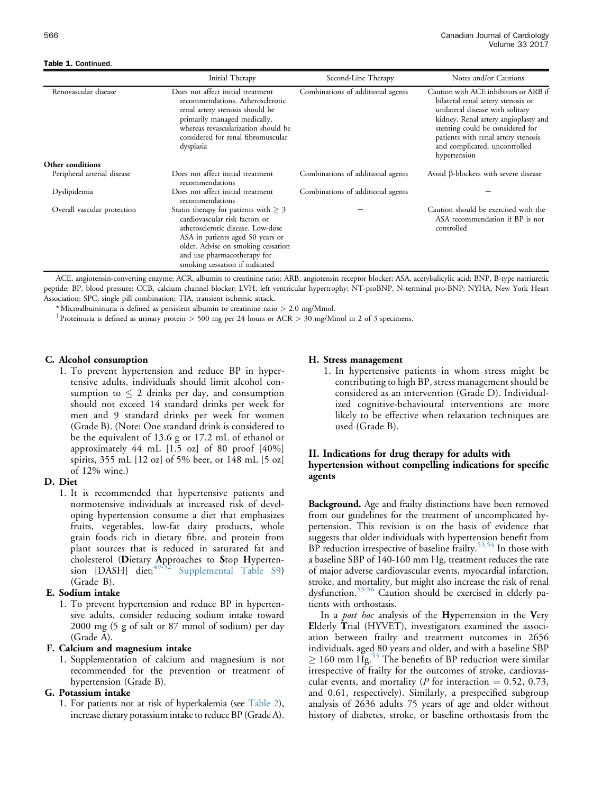Table 1. Continued.

|                                          | Initial Therapy                                                                                                                                                                                                                                          | Second-Line Therapy               | Notes and/or Cautions                                                                                                                                                                                                                                                               |
|------------------------------------------|----------------------------------------------------------------------------------------------------------------------------------------------------------------------------------------------------------------------------------------------------------|-----------------------------------|-------------------------------------------------------------------------------------------------------------------------------------------------------------------------------------------------------------------------------------------------------------------------------------|
| Renovascular disease<br>Other conditions | Does not affect initial treatment<br>recommendations. Atherosclerotic<br>renal artery stenosis should be<br>primarily managed medically,<br>whereas revascularization should be<br>considered for renal fibromuscular<br>dysplasia                       | Combinations of additional agents | Caution with ACE inhibitors or ARB if<br>bilateral renal artery stenosis or<br>unilateral disease with solitary<br>kidney. Renal artery angioplasty and<br>stenting could be considered for<br>patients with renal artery stenosis<br>and complicated, uncontrolled<br>hypertension |
| Peripheral arterial disease              | Does not affect initial treatment                                                                                                                                                                                                                        | Combinations of additional agents | Avoid $β$ -blockers with severe disease                                                                                                                                                                                                                                             |
|                                          | recommendations                                                                                                                                                                                                                                          |                                   |                                                                                                                                                                                                                                                                                     |
| Dyslipidemia                             | Does not affect initial treatment<br>recommendations                                                                                                                                                                                                     | Combinations of additional agents |                                                                                                                                                                                                                                                                                     |
| Overall vascular protection              | Statin therapy for patients with $>$ 3<br>cardiovascular risk factors or<br>atherosclerotic disease. Low-dose<br>ASA in patients aged 50 years or<br>older. Advise on smoking cessation<br>and use pharmacotherapy for<br>smoking cessation if indicated |                                   | Caution should be exercised with the<br>ASA recommendation if BP is not<br>controlled                                                                                                                                                                                               |

ACE, angiotensin-converting enzyme; ACR, albumin to creatinine ratio; ARB, angiotensin receptor blocker; ASA, acetylsalicylic acid; BNP, B-type natriuretic peptide; BP, blood pressure; CCB, calcium channel blocker; LVH, left ventricular hypertrophy; NT-proBNP, N-terminal pro-BNP; NYHA, New York Heart Association; SPC, single pill combination; TIA, transient ischemic attack.

\* Microalbuminuria is defined as persistent albumin to creatinine ratio > 2.0 mg/Mmol.

<sup>†</sup> Proteinuria is defined as urinary protein > 500 mg per 24 hours or ACR > 30 mg/Mmol in 2 of 3 specimens.

#### C. Alcohol consumption

1. To prevent hypertension and reduce BP in hypertensive adults, individuals should limit alcohol consumption to  $\leq 2$  drinks per day, and consumption should not exceed 14 standard drinks per week for men and 9 standard drinks per week for women (Grade B). (Note: One standard drink is considered to be the equivalent of 13.6 g or 17.2 mL of ethanol or approximately 44 mL [1.5 oz] of 80 proof [40%] spirits, 355 mL [12 oz] of 5% beer, or 148 mL [5 oz] of 12% wine.)

#### D. Diet

1. It is recommended that hypertensive patients and normotensive individuals at increased risk of developing hypertension consume a diet that emphasizes fruits, vegetables, low-fat dairy products, whole grain foods rich in dietary fibre, and protein from plant sources that is reduced in saturated fat and cholesterol (Dietary Approaches to Stop Hyperten-sion [DASH] diet;<sup>[49-52](#page-17-0)</sup> Supplemental Table S9) (Grade B).

#### E. Sodium intake

1. To prevent hypertension and reduce BP in hypertensive adults, consider reducing sodium intake toward 2000 mg (5 g of salt or 87 mmol of sodium) per day (Grade A).

#### F. Calcium and magnesium intake

1. Supplementation of calcium and magnesium is not recommended for the prevention or treatment of hypertension (Grade B).

#### G. Potassium intake

1. For patients not at risk of hyperkalemia (see [Table 2\)](#page-10-0), increase dietary potassium intake to reduce BP (Grade A).

#### H. Stress management

1. In hypertensive patients in whom stress might be contributing to high BP, stress management should be considered as an intervention (Grade D). Individualized cognitive-behavioural interventions are more likely to be effective when relaxation techniques are used (Grade B).

## II. Indications for drug therapy for adults with hypertension without compelling indications for specific agents

Background. Age and frailty distinctions have been removed from our guidelines for the treatment of uncomplicated hypertension. This revision is on the basis of evidence that suggests that older individuals with hypertension benefit from BP reduction irrespective of baseline frailty.<sup>[53,54](#page-17-0)</sup> In those with a baseline SBP of 140-160 mm Hg, treatment reduces the rate of major adverse cardiovascular events, myocardial infarction, stroke, and mortality, but might also increase the risk of renal dysfunction.[53-56](#page-17-0) Caution should be exercised in elderly patients with orthostasis.

In a *post hoc* analysis of the **Hy** pertension in the Very Elderly Trial (HYVET), investigators examined the association between frailty and treatment outcomes in 2656 individuals, aged 80 years and older, and with a baseline SBP  $\geq$  160 mm Hg.<sup>[53](#page-17-0)</sup> The benefits of BP reduction were similar irrespective of frailty for the outcomes of stroke, cardiovascular events, and mortality (P for interaction  $= 0.52, 0.73$ , and 0.61, respectively). Similarly, a prespecified subgroup analysis of 2636 adults 75 years of age and older without history of diabetes, stroke, or baseline orthostasis from the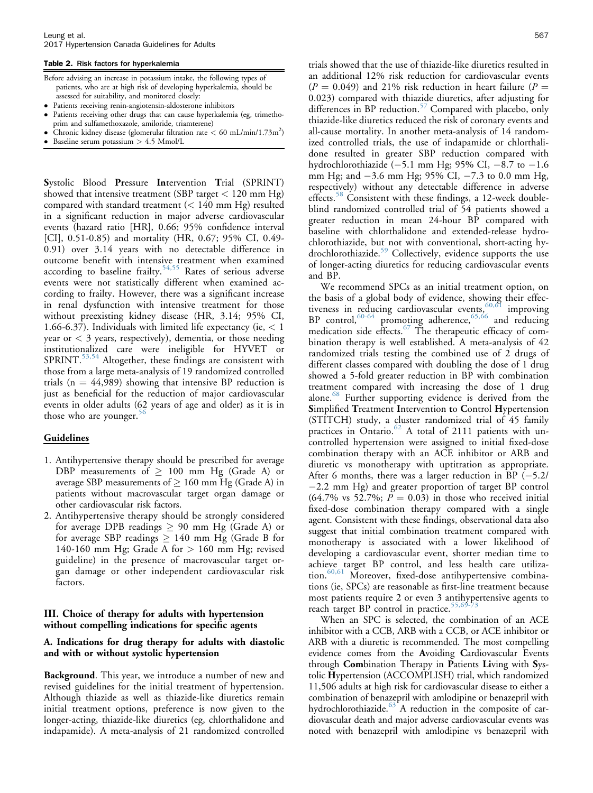#### <span id="page-10-0"></span>Table 2. Risk factors for hyperkalemia

Before advising an increase in potassium intake, the following types of patients, who are at high risk of developing hyperkalemia, should be assessed for suitability, and monitored closely:

- Patients receiving renin-angiotensin-aldosterone inhibitors
- Patients receiving other drugs that can cause hyperkalemia (eg, trimethoprim and sulfamethoxazole, amiloride, triamterene)
- Chronic kidney disease (glomerular filtration rate  $< 60 \text{ mL/min}/1.73 \text{m}^2$ )
- Baseline serum potassium > 4.5 Mmol/L

Systolic Blood Pressure Intervention Trial (SPRINT) showed that intensive treatment (SBP target < 120 mm Hg) compared with standard treatment (< 140 mm Hg) resulted in a significant reduction in major adverse cardiovascular events (hazard ratio [HR], 0.66; 95% confidence interval [CI], 0.51-0.85) and mortality (HR, 0.67; 95% CI, 0.49- 0.91) over 3.14 years with no detectable difference in outcome benefit with intensive treatment when examined according to baseline frailty. $^{54,55}$  $^{54,55}$  $^{54,55}$  Rates of serious adverse events were not statistically different when examined according to frailty. However, there was a significant increase in renal dysfunction with intensive treatment for those without preexisting kidney disease (HR, 3.14; 95% CI, 1.66-6.37). Individuals with limited life expectancy (ie,  $< 1$ ) year or  $\lt$  3 years, respectively), dementia, or those needing institutionalized care were ineligible for HYVET or SPRINT.<sup>[53,54](#page-17-0)</sup> Altogether, these findings are consistent with those from a large meta-analysis of 19 randomized controlled trials ( $n = 44,989$ ) showing that intensive BP reduction is just as beneficial for the reduction of major cardiovascular events in older adults (62 years of age and older) as it is in those who are younger. $56$ 

#### Guidelines

- 1. Antihypertensive therapy should be prescribed for average DBP measurements of  $\geq 100$  mm Hg (Grade A) or average SBP measurements of  $\geq 160$  mm Hg (Grade A) in patients without macrovascular target organ damage or other cardiovascular risk factors.
- 2. Antihypertensive therapy should be strongly considered for average DPB readings  $\geq 90$  mm Hg (Grade A) or for average SBP readings  $\geq 140$  mm Hg (Grade B for 140-160 mm Hg; Grade A for > 160 mm Hg; revised guideline) in the presence of macrovascular target organ damage or other independent cardiovascular risk factors.

#### III. Choice of therapy for adults with hypertension without compelling indications for specific agents

#### A. Indications for drug therapy for adults with diastolic and with or without systolic hypertension

Background. This year, we introduce a number of new and revised guidelines for the initial treatment of hypertension. Although thiazide as well as thiazide-like diuretics remain initial treatment options, preference is now given to the longer-acting, thiazide-like diuretics (eg, chlorthalidone and indapamide). A meta-analysis of 21 randomized controlled

trials showed that the use of thiazide-like diuretics resulted in an additional 12% risk reduction for cardiovascular events  $(P = 0.049)$  and 21% risk reduction in heart failure (P = 0.023) compared with thiazide diuretics, after adjusting for differences in BP reduction.<sup>[57](#page-18-0)</sup> Compared with placebo, only thiazide-like diuretics reduced the risk of coronary events and all-cause mortality. In another meta-analysis of 14 randomized controlled trials, the use of indapamide or chlorthalidone resulted in greater SBP reduction compared with hydrochlorothiazide  $(-5.1 \text{ mm Hg}; 95\% \text{ CI}, -8.7 \text{ to } -1.6$ mm Hg; and  $-3.6$  mm Hg; 95% CI,  $-7.3$  to 0.0 mm Hg, respectively) without any detectable difference in adverse effects.<sup>[58](#page-18-0)</sup> Consistent with these findings, a 12-week doubleblind randomized controlled trial of 54 patients showed a greater reduction in mean 24-hour BP compared with baseline with chlorthalidone and extended-release hydrochlorothiazide, but not with conventional, short-acting hy-drochlorothiazide.<sup>[59](#page-18-0)</sup> Collectively, evidence supports the use of longer-acting diuretics for reducing cardiovascular events and BP.

We recommend SPCs as an initial treatment option, on the basis of a global body of evidence, showing their effec-tiveness in reducing cardiovascular events, <sup>[60,61](#page-18-0)</sup> improving BP control,  $60-64$  promoting adherence,  $65,66$  and reducing medication side effects.<sup>[67](#page-18-0)</sup> The therapeutic efficacy of combination therapy is well established. A meta-analysis of 42 randomized trials testing the combined use of 2 drugs of different classes compared with doubling the dose of 1 drug showed a 5-fold greater reduction in BP with combination treatment compared with increasing the dose of 1 drug alone.<sup>[68](#page-18-0)</sup> Further supporting evidence is derived from the Simplified Treatment Intervention to Control Hypertension (STITCH) study, a cluster randomized trial of 45 family practices in Ontario.<sup>[62](#page-18-0)</sup> A total of 2111 patients with uncontrolled hypertension were assigned to initial fixed-dose combination therapy with an ACE inhibitor or ARB and diuretic vs monotherapy with uptitration as appropriate. After 6 months, there was a larger reduction in BP  $(-5.2/$ 2.2 mm Hg) and greater proportion of target BP control (64.7% vs 52.7%;  $\dot{P} = 0.03$ ) in those who received initial fixed-dose combination therapy compared with a single agent. Consistent with these findings, observational data also suggest that initial combination treatment compared with monotherapy is associated with a lower likelihood of developing a cardiovascular event, shorter median time to achieve target BP control, and less health care utiliza-tion.<sup>[60,61](#page-18-0)</sup> Moreover, fixed-dose antihypertensive combinations (ie, SPCs) are reasonable as first-line treatment because most patients require 2 or even 3 antihypertensive agents to reach target BP control in practice.<sup>[55,69-73](#page-18-0)</sup>

When an SPC is selected, the combination of an ACE inhibitor with a CCB, ARB with a CCB, or ACE inhibitor or ARB with a diuretic is recommended. The most compelling evidence comes from the Avoiding Cardiovascular Events through Combination Therapy in Patients Living with Systolic Hypertension (ACCOMPLISH) trial, which randomized 11,506 adults at high risk for cardiovascular disease to either a combination of benazepril with amlodipine or benazepril with hydrochlorothiazide.<sup>[63](#page-18-0)</sup> A reduction in the composite of cardiovascular death and major adverse cardiovascular events was noted with benazepril with amlodipine vs benazepril with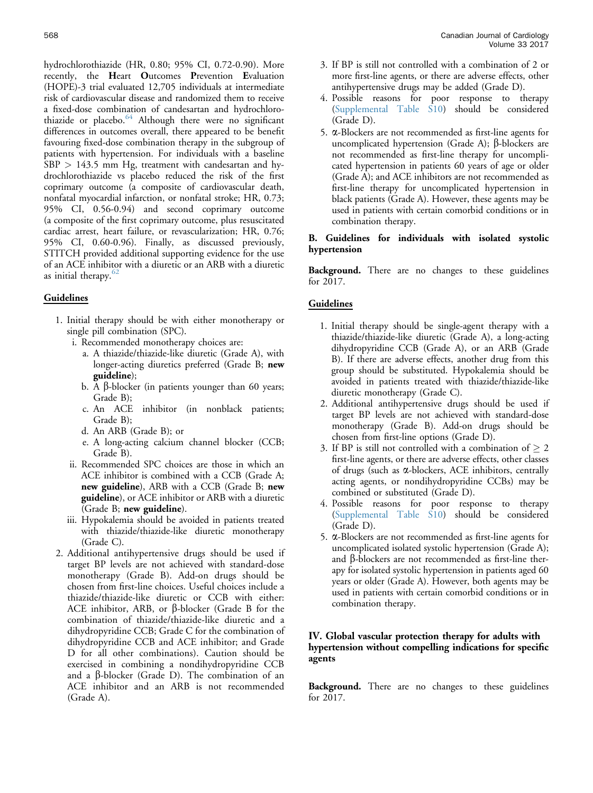hydrochlorothiazide (HR, 0.80; 95% CI, 0.72-0.90). More recently, the Heart Outcomes Prevention Evaluation (HOPE)-3 trial evaluated 12,705 individuals at intermediate risk of cardiovascular disease and randomized them to receive a fixed-dose combination of candesartan and hydrochloro-thiazide or placebo.<sup>[64](#page-18-0)</sup> Although there were no significant differences in outcomes overall, there appeared to be benefit favouring fixed-dose combination therapy in the subgroup of patients with hypertension. For individuals with a baseline  $SBP > 143.5$  mm Hg, treatment with candesartan and hydrochlorothiazide vs placebo reduced the risk of the first coprimary outcome (a composite of cardiovascular death, nonfatal myocardial infarction, or nonfatal stroke; HR, 0.73; 95% CI, 0.56-0.94) and second coprimary outcome (a composite of the first coprimary outcome, plus resuscitated cardiac arrest, heart failure, or revascularization; HR, 0.76; 95% CI, 0.60-0.96). Finally, as discussed previously, STITCH provided additional supporting evidence for the use of an ACE inhibitor with a diuretic or an ARB with a diuretic as initial therapy. $62$ 

# Guidelines

- 1. Initial therapy should be with either monotherapy or single pill combination (SPC).
	- i. Recommended monotherapy choices are:
		- a. A thiazide/thiazide-like diuretic (Grade A), with longer-acting diuretics preferred (Grade B; new guideline);
		- b. A  $\beta$ -blocker (in patients younger than 60 years; Grade B);
		- c. An ACE inhibitor (in nonblack patients; Grade B);
		- d. An ARB (Grade B); or
		- e. A long-acting calcium channel blocker (CCB; Grade B).
	- ii. Recommended SPC choices are those in which an ACE inhibitor is combined with a CCB (Grade A; new guideline), ARB with a CCB (Grade B; new guideline), or ACE inhibitor or ARB with a diuretic (Grade B; new guideline).
	- iii. Hypokalemia should be avoided in patients treated with thiazide/thiazide-like diuretic monotherapy (Grade C).
- 2. Additional antihypertensive drugs should be used if target BP levels are not achieved with standard-dose monotherapy (Grade B). Add-on drugs should be chosen from first-line choices. Useful choices include a thiazide/thiazide-like diuretic or CCB with either: ACE inhibitor, ARB, or  $\beta$ -blocker (Grade B for the combination of thiazide/thiazide-like diuretic and a dihydropyridine CCB; Grade C for the combination of dihydropyridine CCB and ACE inhibitor; and Grade D for all other combinations). Caution should be exercised in combining a nondihydropyridine CCB and a  $\beta$ -blocker (Grade D). The combination of an ACE inhibitor and an ARB is not recommended (Grade A).
- 3. If BP is still not controlled with a combination of 2 or more first-line agents, or there are adverse effects, other antihypertensive drugs may be added (Grade D).
- 4. Possible reasons for poor response to therapy (Supplemental Table S10) should be considered (Grade D).
- 5. a-Blockers are not recommended as first-line agents for uncomplicated hypertension (Grade A);  $\beta$ -blockers are not recommended as first-line therapy for uncomplicated hypertension in patients 60 years of age or older (Grade A); and ACE inhibitors are not recommended as first-line therapy for uncomplicated hypertension in black patients (Grade A). However, these agents may be used in patients with certain comorbid conditions or in combination therapy.

# B. Guidelines for individuals with isolated systolic hypertension

Background. There are no changes to these guidelines for 2017.

## Guidelines

- 1. Initial therapy should be single-agent therapy with a thiazide/thiazide-like diuretic (Grade A), a long-acting dihydropyridine CCB (Grade A), or an ARB (Grade B). If there are adverse effects, another drug from this group should be substituted. Hypokalemia should be avoided in patients treated with thiazide/thiazide-like diuretic monotherapy (Grade C).
- 2. Additional antihypertensive drugs should be used if target BP levels are not achieved with standard-dose monotherapy (Grade B). Add-on drugs should be chosen from first-line options (Grade D).
- 3. If BP is still not controlled with a combination of  $\geq 2$ first-line agents, or there are adverse effects, other classes of drugs (such as  $\alpha$ -blockers, ACE inhibitors, centrally acting agents, or nondihydropyridine CCBs) may be combined or substituted (Grade D).
- 4. Possible reasons for poor response to therapy (Supplemental Table S10) should be considered (Grade D).
- 5. a-Blockers are not recommended as first-line agents for uncomplicated isolated systolic hypertension (Grade A); and  $\beta$ -blockers are not recommended as first-line therapy for isolated systolic hypertension in patients aged 60 years or older (Grade A). However, both agents may be used in patients with certain comorbid conditions or in combination therapy.

## IV. Global vascular protection therapy for adults with hypertension without compelling indications for specific agents

Background. There are no changes to these guidelines for 2017.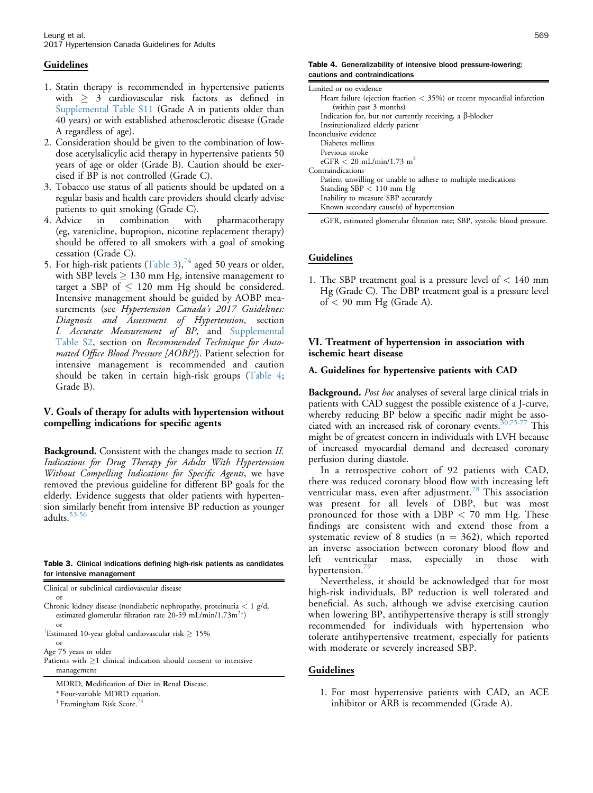## Guidelines

- 1. Statin therapy is recommended in hypertensive patients with  $\geq$  3 cardiovascular risk factors as defined in Supplemental Table S11 (Grade A in patients older than 40 years) or with established atherosclerotic disease (Grade A regardless of age).
- 2. Consideration should be given to the combination of lowdose acetylsalicylic acid therapy in hypertensive patients 50 years of age or older (Grade B). Caution should be exercised if BP is not controlled (Grade C).
- 3. Tobacco use status of all patients should be updated on a regular basis and health care providers should clearly advise patients to quit smoking (Grade C).
- 4. Advice in combination with pharmacotherapy (eg, varenicline, bupropion, nicotine replacement therapy) should be offered to all smokers with a goal of smoking cessation (Grade C).
- 5. For high-risk patients (Table 3),  $^{74}$  $^{74}$  $^{74}$  aged 50 years or older, with SBP levels  $\geq 130$  mm Hg, intensive management to target a SBP of  $\leq 120$  mm Hg should be considered. Intensive management should be guided by AOBP measurements (see Hypertension Canada's 2017 Guidelines: Diagnosis and Assessment of Hypertension, section I. Accurate Measurement of BP, and Supplemental Table S2, section on Recommended Technique for Automated Office Blood Pressure [AOBP]). Patient selection for intensive management is recommended and caution should be taken in certain high-risk groups (Table 4; Grade B).

#### V. Goals of therapy for adults with hypertension without compelling indications for specific agents

Background. Consistent with the changes made to section II. Indications for Drug Therapy for Adults With Hypertension Without Compelling Indications for Specific Agents, we have removed the previous guideline for different BP goals for the elderly. Evidence suggests that older patients with hypertension similarly benefit from intensive BP reduction as younger adults.<sup>[53-56](#page-17-0)</sup>

#### Table 3. Clinical indications defining high-risk patients as candidates for intensive management

Chronic kidney disease (nondiabetic nephropathy, proteinuria  $\langle 1 \text{ g/d},$ estimated glomerular filtration rate 20-59 mL/min/1.73m<sup>2\*</sup>)

or <sup>†</sup>Estimated 10-year global cardiovascular risk  $\geq 15\%$ 

or Age 75 years or older

or

Patients with  $\geq 1$  clinical indication should consent to intensive management

<sup>†</sup> Framingham Risk Score.<sup>74</sup>

#### Table 4. Generalizability of intensive blood pressure-lowering: cautions and contraindications

| Limited or no evidence                                                    |  |  |
|---------------------------------------------------------------------------|--|--|
| Heart failure (ejection fraction $<$ 35%) or recent myocardial infarction |  |  |
| (within past 3 months)                                                    |  |  |
| Indication for, but not currently receiving, a $\beta$ -blocker           |  |  |
| Institutionalized elderly patient                                         |  |  |
| Inconclusive evidence                                                     |  |  |
| Diabetes mellitus                                                         |  |  |
| Previous stroke                                                           |  |  |
| eGFR $< 20$ mL/min/1.73 m <sup>2</sup>                                    |  |  |
| Contraindications                                                         |  |  |
| Patient unwilling or unable to adhere to multiple medications             |  |  |
| Standing $SBP < 110$ mm Hg                                                |  |  |
| Inability to measure SBP accurately                                       |  |  |
| Known secondary cause(s) of hypertension                                  |  |  |
|                                                                           |  |  |

eGFR, estimated glomerular filtration rate; SBP, systolic blood pressure.

## Guidelines

1. The SBP treatment goal is a pressure level of  $< 140$  mm Hg (Grade C). The DBP treatment goal is a pressure level of  $<$  90 mm Hg (Grade A).

## VI. Treatment of hypertension in association with ischemic heart disease

#### A. Guidelines for hypertensive patients with CAD

**Background.** Post hoc analyses of several large clinical trials in patients with CAD suggest the possible existence of a J-curve, whereby reducing BP below a specific nadir might be asso-ciated with an increased risk of coronary events.<sup>[30,75-77](#page-17-0)</sup> This might be of greatest concern in individuals with LVH because of increased myocardial demand and decreased coronary perfusion during diastole.

In a retrospective cohort of 92 patients with CAD, there was reduced coronary blood flow with increasing left ventricular mass, even after adjustment.<sup>[78](#page-18-0)</sup> This association was present for all levels of DBP, but was most pronounced for those with a  $DBP < 70$  mm Hg. These findings are consistent with and extend those from a systematic review of 8 studies ( $n = 362$ ), which reported an inverse association between coronary blood flow and left ventricular mass, especially in those with hypertension.<sup>7</sup>

Nevertheless, it should be acknowledged that for most high-risk individuals, BP reduction is well tolerated and beneficial. As such, although we advise exercising caution when lowering BP, antihypertensive therapy is still strongly recommended for individuals with hypertension who tolerate antihypertensive treatment, especially for patients with moderate or severely increased SBP.

#### Guidelines

1. For most hypertensive patients with CAD, an ACE inhibitor or ARB is recommended (Grade A).

MDRD, Modification of Diet in Renal Disease.

<sup>\*</sup> Four-variable MDRD equation.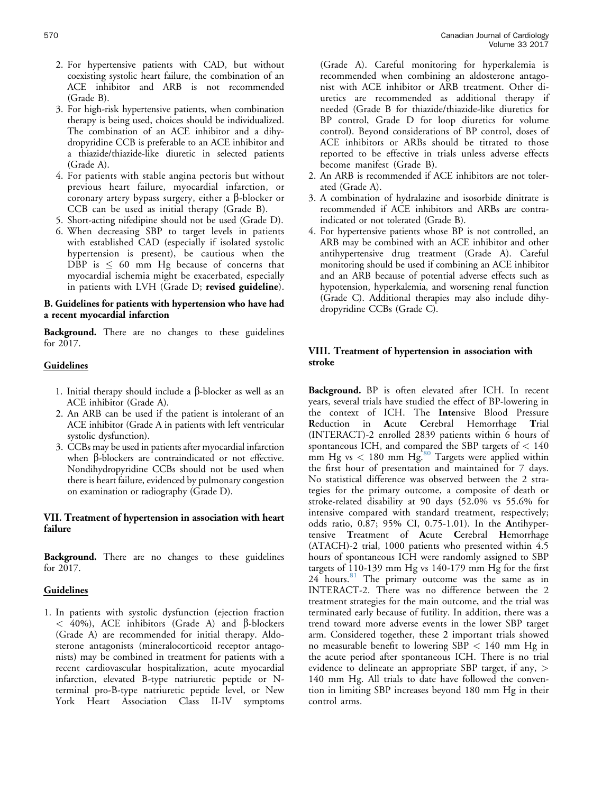- 2. For hypertensive patients with CAD, but without coexisting systolic heart failure, the combination of an ACE inhibitor and ARB is not recommended (Grade B).
- 3. For high-risk hypertensive patients, when combination therapy is being used, choices should be individualized. The combination of an ACE inhibitor and a dihydropyridine CCB is preferable to an ACE inhibitor and a thiazide/thiazide-like diuretic in selected patients (Grade A).
- 4. For patients with stable angina pectoris but without previous heart failure, myocardial infarction, or coronary artery bypass surgery, either a  $\beta$ -blocker or CCB can be used as initial therapy (Grade B).
- 5. Short-acting nifedipine should not be used (Grade D).
- 6. When decreasing SBP to target levels in patients with established CAD (especially if isolated systolic hypertension is present), be cautious when the DBP is  $\leq 60$  mm Hg because of concerns that myocardial ischemia might be exacerbated, especially in patients with LVH (Grade D; revised guideline).

## B. Guidelines for patients with hypertension who have had a recent myocardial infarction

Background. There are no changes to these guidelines for 2017.

# **Guidelines**

- 1. Initial therapy should include a  $\beta$ -blocker as well as an ACE inhibitor (Grade A).
- 2. An ARB can be used if the patient is intolerant of an ACE inhibitor (Grade A in patients with left ventricular systolic dysfunction).
- 3. CCBs may be used in patients after myocardial infarction when  $\beta$ -blockers are contraindicated or not effective. Nondihydropyridine CCBs should not be used when there is heart failure, evidenced by pulmonary congestion on examination or radiography (Grade D).

## VII. Treatment of hypertension in association with heart failure

Background. There are no changes to these guidelines for 2017.

# Guidelines

1. In patients with systolic dysfunction (ejection fraction  $<$  40%), ACE inhibitors (Grade A) and  $\beta$ -blockers (Grade A) are recommended for initial therapy. Aldosterone antagonists (mineralocorticoid receptor antagonists) may be combined in treatment for patients with a recent cardiovascular hospitalization, acute myocardial infarction, elevated B-type natriuretic peptide or Nterminal pro-B-type natriuretic peptide level, or New York Heart Association Class II-IV symptoms (Grade A). Careful monitoring for hyperkalemia is recommended when combining an aldosterone antagonist with ACE inhibitor or ARB treatment. Other diuretics are recommended as additional therapy if needed (Grade B for thiazide/thiazide-like diuretics for BP control, Grade D for loop diuretics for volume control). Beyond considerations of BP control, doses of ACE inhibitors or ARBs should be titrated to those reported to be effective in trials unless adverse effects become manifest (Grade B).

- 2. An ARB is recommended if ACE inhibitors are not tolerated (Grade A).
- 3. A combination of hydralazine and isosorbide dinitrate is recommended if ACE inhibitors and ARBs are contraindicated or not tolerated (Grade B).
- 4. For hypertensive patients whose BP is not controlled, an ARB may be combined with an ACE inhibitor and other antihypertensive drug treatment (Grade A). Careful monitoring should be used if combining an ACE inhibitor and an ARB because of potential adverse effects such as hypotension, hyperkalemia, and worsening renal function (Grade C). Additional therapies may also include dihydropyridine CCBs (Grade C).

## VIII. Treatment of hypertension in association with stroke

Background. BP is often elevated after ICH. In recent years, several trials have studied the effect of BP-lowering in the context of ICH. The Intensive Blood Pressure Reduction in Acute Cerebral Hemorrhage Trial (INTERACT)-2 enrolled 2839 patients within 6 hours of spontaneous ICH, and compared the SBP targets of  $< 140$ mm Hg vs  $< 180$  $< 180$  mm Hg.<sup>80</sup> Targets were applied within the first hour of presentation and maintained for 7 days. No statistical difference was observed between the 2 strategies for the primary outcome, a composite of death or stroke-related disability at 90 days (52.0% vs 55.6% for intensive compared with standard treatment, respectively; odds ratio, 0.87; 95% CI, 0.75-1.01). In the Antihypertensive Treatment of Acute Cerebral Hemorrhage (ATACH)-2 trial, 1000 patients who presented within 4.5 hours of spontaneous ICH were randomly assigned to SBP targets of 110-139 mm Hg vs 140-179 mm Hg for the first 24 hours.<sup>[81](#page-18-0)</sup> The primary outcome was the same as in INTERACT-2. There was no difference between the 2 treatment strategies for the main outcome, and the trial was terminated early because of futility. In addition, there was a trend toward more adverse events in the lower SBP target arm. Considered together, these 2 important trials showed no measurable benefit to lowering SBP < 140 mm Hg in the acute period after spontaneous ICH. There is no trial evidence to delineate an appropriate SBP target, if any, > 140 mm Hg. All trials to date have followed the convention in limiting SBP increases beyond 180 mm Hg in their control arms.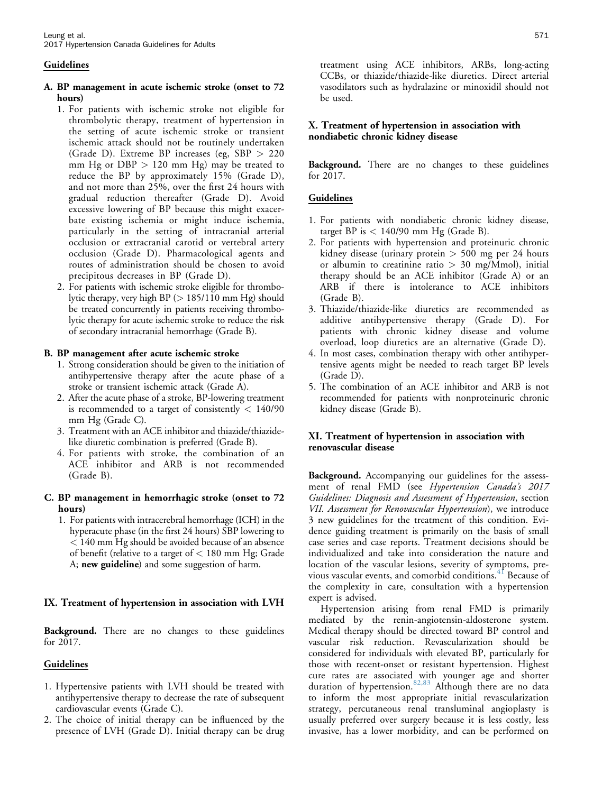## Guidelines

## A. BP management in acute ischemic stroke (onset to 72 hours)

- 1. For patients with ischemic stroke not eligible for thrombolytic therapy, treatment of hypertension in the setting of acute ischemic stroke or transient ischemic attack should not be routinely undertaken (Grade D). Extreme BP increases (eg, SBP > 220 mm Hg or  $DBP > 120$  mm Hg) may be treated to reduce the BP by approximately 15% (Grade D), and not more than 25%, over the first 24 hours with gradual reduction thereafter (Grade D). Avoid excessive lowering of BP because this might exacerbate existing ischemia or might induce ischemia, particularly in the setting of intracranial arterial occlusion or extracranial carotid or vertebral artery occlusion (Grade D). Pharmacological agents and routes of administration should be chosen to avoid precipitous decreases in BP (Grade D).
- 2. For patients with ischemic stroke eligible for thrombolytic therapy, very high  $BP \, (> 185/110 \, \text{mm Hg})$  should be treated concurrently in patients receiving thrombolytic therapy for acute ischemic stroke to reduce the risk of secondary intracranial hemorrhage (Grade B).

#### B. BP management after acute ischemic stroke

- 1. Strong consideration should be given to the initiation of antihypertensive therapy after the acute phase of a stroke or transient ischemic attack (Grade A).
- 2. After the acute phase of a stroke, BP-lowering treatment is recommended to a target of consistently  $< 140/90$ mm Hg (Grade C).
- 3. Treatment with an ACE inhibitor and thiazide/thiazidelike diuretic combination is preferred (Grade B).
- 4. For patients with stroke, the combination of an ACE inhibitor and ARB is not recommended (Grade B).

#### C. BP management in hemorrhagic stroke (onset to 72 hours)

1. For patients with intracerebral hemorrhage (ICH) in the hyperacute phase (in the first 24 hours) SBP lowering to < 140 mm Hg should be avoided because of an absence of benefit (relative to a target of < 180 mm Hg; Grade A; new guideline) and some suggestion of harm.

# IX. Treatment of hypertension in association with LVH

**Background.** There are no changes to these guidelines for 2017.

#### Guidelines

- 1. Hypertensive patients with LVH should be treated with antihypertensive therapy to decrease the rate of subsequent cardiovascular events (Grade C).
- 2. The choice of initial therapy can be influenced by the presence of LVH (Grade D). Initial therapy can be drug

treatment using ACE inhibitors, ARBs, long-acting CCBs, or thiazide/thiazide-like diuretics. Direct arterial vasodilators such as hydralazine or minoxidil should not be used.

### X. Treatment of hypertension in association with nondiabetic chronic kidney disease

Background. There are no changes to these guidelines for 2017.

### Guidelines

- 1. For patients with nondiabetic chronic kidney disease, target BP is  $< 140/90$  mm Hg (Grade B).
- 2. For patients with hypertension and proteinuric chronic kidney disease (urinary protein > 500 mg per 24 hours or albumin to creatinine ratio  $> 30$  mg/Mmol), initial therapy should be an ACE inhibitor (Grade A) or an ARB if there is intolerance to ACE inhibitors (Grade B).
- 3. Thiazide/thiazide-like diuretics are recommended as additive antihypertensive therapy (Grade D). For patients with chronic kidney disease and volume overload, loop diuretics are an alternative (Grade D).
- 4. In most cases, combination therapy with other antihypertensive agents might be needed to reach target BP levels (Grade D).
- 5. The combination of an ACE inhibitor and ARB is not recommended for patients with nonproteinuric chronic kidney disease (Grade B).

## XI. Treatment of hypertension in association with renovascular disease

Background. Accompanying our guidelines for the assessment of renal FMD (see Hypertension Canada's 2017 Guidelines: Diagnosis and Assessment of Hypertension, section VII. Assessment for Renovascular Hypertension), we introduce 3 new guidelines for the treatment of this condition. Evidence guiding treatment is primarily on the basis of small case series and case reports. Treatment decisions should be individualized and take into consideration the nature and location of the vascular lesions, severity of symptoms, previous vascular events, and comorbid conditions.[41](#page-17-0) Because of the complexity in care, consultation with a hypertension expert is advised.

Hypertension arising from renal FMD is primarily mediated by the renin-angiotensin-aldosterone system. Medical therapy should be directed toward BP control and vascular risk reduction. Revascularization should be considered for individuals with elevated BP, particularly for those with recent-onset or resistant hypertension. Highest cure rates are associated with younger age and shorter duration of hypertension. <sup>[82,83](#page-18-0)</sup> Although there are no data to inform the most appropriate initial revascularization strategy, percutaneous renal transluminal angioplasty is usually preferred over surgery because it is less costly, less invasive, has a lower morbidity, and can be performed on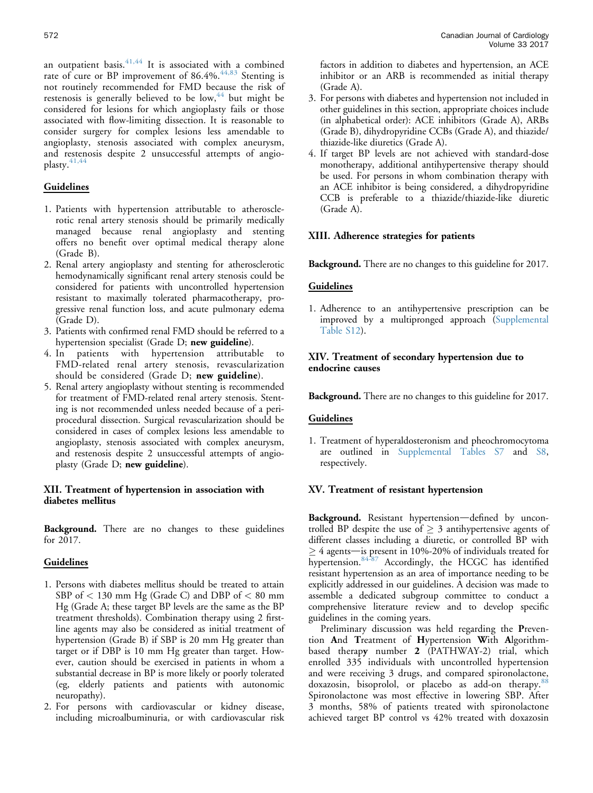an outpatient basis. $41,44$  It is associated with a combined rate of cure or BP improvement of  $86.4\%$ .<sup>[44,83](#page-17-0)</sup> Stenting is not routinely recommended for FMD because the risk of restenosis is generally believed to be low,  $44$  but might be considered for lesions for which angioplasty fails or those associated with flow-limiting dissection. It is reasonable to consider surgery for complex lesions less amendable to angioplasty, stenosis associated with complex aneurysm, and restenosis despite 2 unsuccessful attempts of angio-plasty.<sup>[41,44](#page-17-0)</sup>

# **Guidelines**

- 1. Patients with hypertension attributable to atherosclerotic renal artery stenosis should be primarily medically managed because renal angioplasty and stenting offers no benefit over optimal medical therapy alone (Grade B).
- 2. Renal artery angioplasty and stenting for atherosclerotic hemodynamically significant renal artery stenosis could be considered for patients with uncontrolled hypertension resistant to maximally tolerated pharmacotherapy, progressive renal function loss, and acute pulmonary edema (Grade D).
- 3. Patients with confirmed renal FMD should be referred to a hypertension specialist (Grade D; new guideline).
- 4. In patients with hypertension attributable to FMD-related renal artery stenosis, revascularization should be considered (Grade D; new guideline).
- 5. Renal artery angioplasty without stenting is recommended for treatment of FMD-related renal artery stenosis. Stenting is not recommended unless needed because of a periprocedural dissection. Surgical revascularization should be considered in cases of complex lesions less amendable to angioplasty, stenosis associated with complex aneurysm, and restenosis despite 2 unsuccessful attempts of angioplasty (Grade D; **new guideline**).

## XII. Treatment of hypertension in association with diabetes mellitus

Background. There are no changes to these guidelines for 2017.

# Guidelines

- 1. Persons with diabetes mellitus should be treated to attain SBP of < 130 mm Hg (Grade C) and DBP of < 80 mm Hg (Grade A; these target BP levels are the same as the BP treatment thresholds). Combination therapy using 2 firstline agents may also be considered as initial treatment of hypertension (Grade B) if SBP is 20 mm Hg greater than target or if DBP is 10 mm Hg greater than target. However, caution should be exercised in patients in whom a substantial decrease in BP is more likely or poorly tolerated (eg, elderly patients and patients with autonomic neuropathy).
- 2. For persons with cardiovascular or kidney disease, including microalbuminuria, or with cardiovascular risk

factors in addition to diabetes and hypertension, an ACE inhibitor or an ARB is recommended as initial therapy (Grade A).

- 3. For persons with diabetes and hypertension not included in other guidelines in this section, appropriate choices include (in alphabetical order): ACE inhibitors (Grade A), ARBs (Grade B), dihydropyridine CCBs (Grade A), and thiazide/ thiazide-like diuretics (Grade A).
- 4. If target BP levels are not achieved with standard-dose monotherapy, additional antihypertensive therapy should be used. For persons in whom combination therapy with an ACE inhibitor is being considered, a dihydropyridine CCB is preferable to a thiazide/thiazide-like diuretic (Grade A).

# XIII. Adherence strategies for patients

Background. There are no changes to this guideline for 2017.

# Guidelines

1. Adherence to an antihypertensive prescription can be improved by a multipronged approach (Supplemental Table S12).

## XIV. Treatment of secondary hypertension due to endocrine causes

Background. There are no changes to this guideline for 2017.

# Guidelines

1. Treatment of hyperaldosteronism and pheochromocytoma are outlined in Supplemental Tables S7 and S8, respectively.

# XV. Treatment of resistant hypertension

Background. Resistant hypertension-defined by uncontrolled BP despite the use of  $\geq$  3 antihypertensive agents of different classes including a diuretic, or controlled BP with  $\geq 4$  agents—is present in 10%-20% of individuals treated for hypertension.[84-87](#page-18-0) Accordingly, the HCGC has identified resistant hypertension as an area of importance needing to be explicitly addressed in our guidelines. A decision was made to assemble a dedicated subgroup committee to conduct a comprehensive literature review and to develop specific guidelines in the coming years.

Preliminary discussion was held regarding the Prevention And Treatment of Hypertension With Algorithmbased therapy number 2 (PATHWAY-2) trial, which enrolled 335 individuals with uncontrolled hypertension and were receiving 3 drugs, and compared spironolactone, doxazosin, bisoprolol, or placebo as add-on therapy.<sup>8</sup> Spironolactone was most effective in lowering SBP. After 3 months, 58% of patients treated with spironolactone achieved target BP control vs 42% treated with doxazosin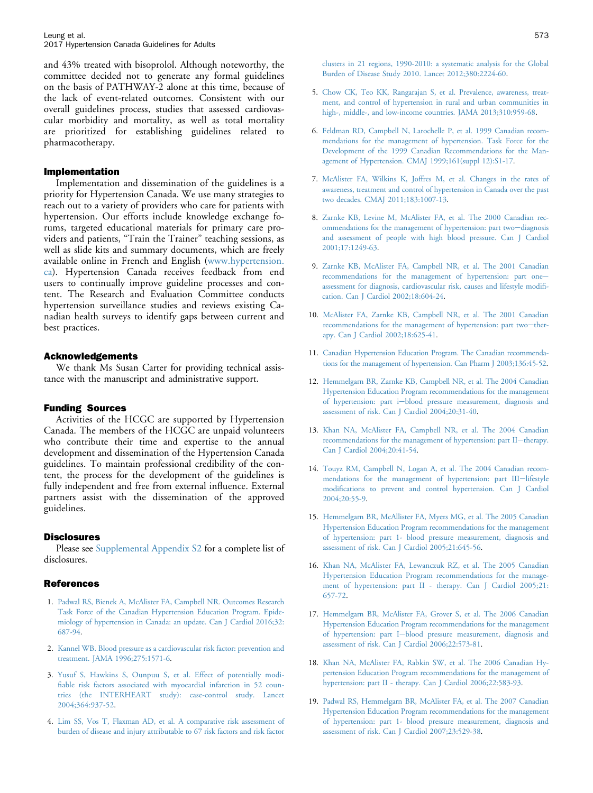<span id="page-16-0"></span>and 43% treated with bisoprolol. Although noteworthy, the committee decided not to generate any formal guidelines on the basis of PATHWAY-2 alone at this time, because of the lack of event-related outcomes. Consistent with our overall guidelines process, studies that assessed cardiovascular morbidity and mortality, as well as total mortality are prioritized for establishing guidelines related to pharmacotherapy.

#### Implementation

Implementation and dissemination of the guidelines is a priority for Hypertension Canada. We use many strategies to reach out to a variety of providers who care for patients with hypertension. Our efforts include knowledge exchange forums, targeted educational materials for primary care providers and patients, "Train the Trainer" teaching sessions, as well as slide kits and summary documents, which are freely available online in French and English ([www.hypertension.](http://www.hypertension.ca) [ca](http://www.hypertension.ca)). Hypertension Canada receives feedback from end users to continually improve guideline processes and content. The Research and Evaluation Committee conducts hypertension surveillance studies and reviews existing Canadian health surveys to identify gaps between current and best practices.

#### Acknowledgements

We thank Ms Susan Carter for providing technical assistance with the manuscript and administrative support.

## Funding Sources

Activities of the HCGC are supported by Hypertension Canada. The members of the HCGC are unpaid volunteers who contribute their time and expertise to the annual development and dissemination of the Hypertension Canada guidelines. To maintain professional credibility of the content, the process for the development of the guidelines is fully independent and free from external influence. External partners assist with the dissemination of the approved guidelines.

#### **Disclosures**

Please see Supplemental Appendix S2 for a complete list of disclosures.

#### **References**

- 1. [Padwal RS, Bienek A, McAlister FA, Campbell NR. Outcomes Research](http://refhub.elsevier.com/S0828-282X(17)30110-1/sref1) [Task Force of the Canadian Hypertension Education Program. Epide](http://refhub.elsevier.com/S0828-282X(17)30110-1/sref1)[miology of hypertension in Canada: an update. Can J Cardiol 2016;32:](http://refhub.elsevier.com/S0828-282X(17)30110-1/sref1) [687-94](http://refhub.elsevier.com/S0828-282X(17)30110-1/sref1).
- 2. [Kannel WB. Blood pressure as a cardiovascular risk factor: prevention and](http://refhub.elsevier.com/S0828-282X(17)30110-1/sref2) [treatment. JAMA 1996;275:1571-6.](http://refhub.elsevier.com/S0828-282X(17)30110-1/sref2)
- 3. [Yusuf S, Hawkins S, Ounpuu S, et al. Effect of potentially modi](http://refhub.elsevier.com/S0828-282X(17)30110-1/sref3)fi[able risk factors associated with myocardial infarction in 52 coun](http://refhub.elsevier.com/S0828-282X(17)30110-1/sref3)[tries \(the INTERHEART study\): case-control study. Lancet](http://refhub.elsevier.com/S0828-282X(17)30110-1/sref3) [2004;364:937-52](http://refhub.elsevier.com/S0828-282X(17)30110-1/sref3).
- 4. [Lim SS, Vos T, Flaxman AD, et al. A comparative risk assessment of](http://refhub.elsevier.com/S0828-282X(17)30110-1/sref4) [burden of disease and injury attributable to 67 risk factors and risk factor](http://refhub.elsevier.com/S0828-282X(17)30110-1/sref4)

[clusters in 21 regions, 1990-2010: a systematic analysis for the Global](http://refhub.elsevier.com/S0828-282X(17)30110-1/sref4) [Burden of Disease Study 2010. Lancet 2012;380:2224-60](http://refhub.elsevier.com/S0828-282X(17)30110-1/sref4).

- 5. [Chow CK, Teo KK, Rangarajan S, et al. Prevalence, awareness, treat](http://refhub.elsevier.com/S0828-282X(17)30110-1/sref5)[ment, and control of hypertension in rural and urban communities in](http://refhub.elsevier.com/S0828-282X(17)30110-1/sref5) [high-, middle-, and low-income countries. JAMA 2013;310:959-68](http://refhub.elsevier.com/S0828-282X(17)30110-1/sref5).
- 6. [Feldman RD, Campbell N, Larochelle P, et al. 1999 Canadian recom](http://refhub.elsevier.com/S0828-282X(17)30110-1/sref6)[mendations for the management of hypertension. Task Force for the](http://refhub.elsevier.com/S0828-282X(17)30110-1/sref6) [Development of the 1999 Canadian Recommendations for the Man](http://refhub.elsevier.com/S0828-282X(17)30110-1/sref6)[agement of Hypertension. CMAJ 1999;161\(suppl 12\):S1-17](http://refhub.elsevier.com/S0828-282X(17)30110-1/sref6).
- 7. [McAlister FA, Wilkins K, Joffres M, et al. Changes in the rates of](http://refhub.elsevier.com/S0828-282X(17)30110-1/sref7) [awareness, treatment and control of hypertension in Canada over the past](http://refhub.elsevier.com/S0828-282X(17)30110-1/sref7) [two decades. CMAJ 2011;183:1007-13.](http://refhub.elsevier.com/S0828-282X(17)30110-1/sref7)
- 8. [Zarnke KB, Levine M, McAlister FA, et al. The 2000 Canadian rec](http://refhub.elsevier.com/S0828-282X(17)30110-1/sref8)[ommendations for the management of hypertension: part two](http://refhub.elsevier.com/S0828-282X(17)30110-1/sref8)-[diagnosis](http://refhub.elsevier.com/S0828-282X(17)30110-1/sref8) [and assessment of people with high blood pressure. Can J Cardiol](http://refhub.elsevier.com/S0828-282X(17)30110-1/sref8) [2001;17:1249-63](http://refhub.elsevier.com/S0828-282X(17)30110-1/sref8).
- 9. [Zarnke KB, McAlister FA, Campbell NR, et al. The 2001 Canadian](http://refhub.elsevier.com/S0828-282X(17)30110-1/sref9) [recommendations for the management of hypertension: part one](http://refhub.elsevier.com/S0828-282X(17)30110-1/sref9)[assessment for diagnosis, cardiovascular risk, causes and lifestyle modi](http://refhub.elsevier.com/S0828-282X(17)30110-1/sref9)fi[cation. Can J Cardiol 2002;18:604-24.](http://refhub.elsevier.com/S0828-282X(17)30110-1/sref9)
- 10. [McAlister FA, Zarnke KB, Campbell NR, et al. The 2001 Canadian](http://refhub.elsevier.com/S0828-282X(17)30110-1/sref10) [recommendations for the management of hypertension: part two](http://refhub.elsevier.com/S0828-282X(17)30110-1/sref10)-[ther](http://refhub.elsevier.com/S0828-282X(17)30110-1/sref10)[apy. Can J Cardiol 2002;18:625-41](http://refhub.elsevier.com/S0828-282X(17)30110-1/sref10).
- 11. [Canadian Hypertension Education Program. The Canadian recommenda](http://refhub.elsevier.com/S0828-282X(17)30110-1/sref11)[tions for the management of hypertension. Can Pharm J 2003;136:45-52](http://refhub.elsevier.com/S0828-282X(17)30110-1/sref11).
- 12. [Hemmelgarn BR, Zarnke KB, Campbell NR, et al. The 2004 Canadian](http://refhub.elsevier.com/S0828-282X(17)30110-1/sref12) [Hypertension Education Program recommendations for the management](http://refhub.elsevier.com/S0828-282X(17)30110-1/sref12) [of hypertension: part i](http://refhub.elsevier.com/S0828-282X(17)30110-1/sref12)-[blood pressure measurement, diagnosis and](http://refhub.elsevier.com/S0828-282X(17)30110-1/sref12) [assessment of risk. Can J Cardiol 2004;20:31-40](http://refhub.elsevier.com/S0828-282X(17)30110-1/sref12).
- 13. [Khan NA, McAlister FA, Campbell NR, et al. The 2004 Canadian](http://refhub.elsevier.com/S0828-282X(17)30110-1/sref13) [recommendations for the management of hypertension: part II](http://refhub.elsevier.com/S0828-282X(17)30110-1/sref13)-[therapy.](http://refhub.elsevier.com/S0828-282X(17)30110-1/sref13) [Can J Cardiol 2004;20:41-54.](http://refhub.elsevier.com/S0828-282X(17)30110-1/sref13)
- 14. [Touyz RM, Campbell N, Logan A, et al. The 2004 Canadian recom](http://refhub.elsevier.com/S0828-282X(17)30110-1/sref14)[mendations for the management of hypertension: part III](http://refhub.elsevier.com/S0828-282X(17)30110-1/sref14)-[lifestyle](http://refhub.elsevier.com/S0828-282X(17)30110-1/sref14) modifi[cations to prevent and control hypertension. Can J Cardiol](http://refhub.elsevier.com/S0828-282X(17)30110-1/sref14) [2004;20:55-9.](http://refhub.elsevier.com/S0828-282X(17)30110-1/sref14)
- 15. [Hemmelgarn BR, McAllister FA, Myers MG, et al. The 2005 Canadian](http://refhub.elsevier.com/S0828-282X(17)30110-1/sref15) [Hypertension Education Program recommendations for the management](http://refhub.elsevier.com/S0828-282X(17)30110-1/sref15) [of hypertension: part 1- blood pressure measurement, diagnosis and](http://refhub.elsevier.com/S0828-282X(17)30110-1/sref15) [assessment of risk. Can J Cardiol 2005;21:645-56](http://refhub.elsevier.com/S0828-282X(17)30110-1/sref15).
- 16. [Khan NA, McAlister FA, Lewanczuk RZ, et al. The 2005 Canadian](http://refhub.elsevier.com/S0828-282X(17)30110-1/sref16) [Hypertension Education Program recommendations for the manage](http://refhub.elsevier.com/S0828-282X(17)30110-1/sref16)[ment of hypertension: part II - therapy. Can J Cardiol 2005;21:](http://refhub.elsevier.com/S0828-282X(17)30110-1/sref16) [657-72](http://refhub.elsevier.com/S0828-282X(17)30110-1/sref16).
- 17. [Hemmelgarn BR, McAlister FA, Grover S, et al. The 2006 Canadian](http://refhub.elsevier.com/S0828-282X(17)30110-1/sref17) [Hypertension Education Program recommendations for the management](http://refhub.elsevier.com/S0828-282X(17)30110-1/sref17) [of hypertension: part I](http://refhub.elsevier.com/S0828-282X(17)30110-1/sref17)-[blood pressure measurement, diagnosis and](http://refhub.elsevier.com/S0828-282X(17)30110-1/sref17) [assessment of risk. Can J Cardiol 2006;22:573-81](http://refhub.elsevier.com/S0828-282X(17)30110-1/sref17).
- 18. [Khan NA, McAlister FA, Rabkin SW, et al. The 2006 Canadian Hy](http://refhub.elsevier.com/S0828-282X(17)30110-1/sref18)[pertension Education Program recommendations for the management of](http://refhub.elsevier.com/S0828-282X(17)30110-1/sref18) [hypertension: part II - therapy. Can J Cardiol 2006;22:583-93](http://refhub.elsevier.com/S0828-282X(17)30110-1/sref18).
- 19. [Padwal RS, Hemmelgarn BR, McAlister FA, et al. The 2007 Canadian](http://refhub.elsevier.com/S0828-282X(17)30110-1/sref19) [Hypertension Education Program recommendations for the management](http://refhub.elsevier.com/S0828-282X(17)30110-1/sref19) [of hypertension: part 1- blood pressure measurement, diagnosis and](http://refhub.elsevier.com/S0828-282X(17)30110-1/sref19) [assessment of risk. Can J Cardiol 2007;23:529-38](http://refhub.elsevier.com/S0828-282X(17)30110-1/sref19).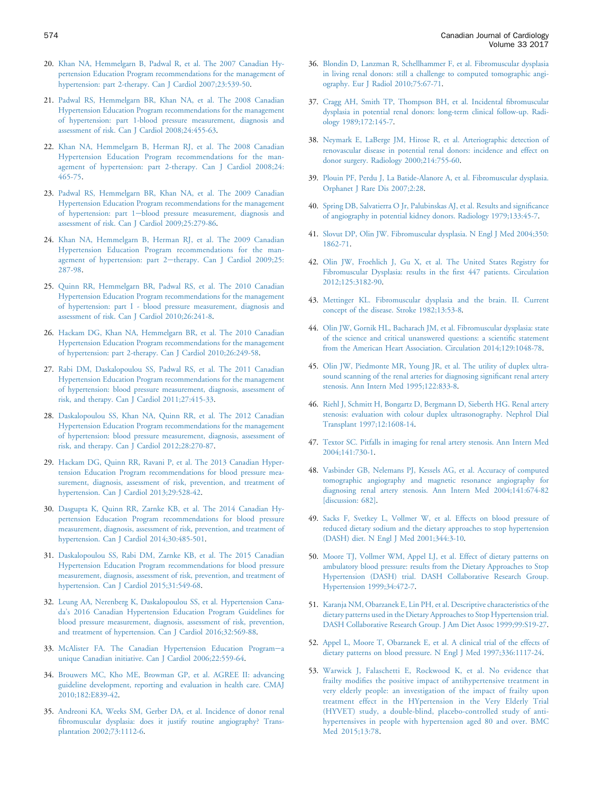- <span id="page-17-0"></span>20. [Khan NA, Hemmelgarn B, Padwal R, et al. The 2007 Canadian Hy](http://refhub.elsevier.com/S0828-282X(17)30110-1/sref20)[pertension Education Program recommendations for the management of](http://refhub.elsevier.com/S0828-282X(17)30110-1/sref20) [hypertension: part 2-therapy. Can J Cardiol 2007;23:539-50.](http://refhub.elsevier.com/S0828-282X(17)30110-1/sref20)
- 21. [Padwal RS, Hemmelgarn BR, Khan NA, et al. The 2008 Canadian](http://refhub.elsevier.com/S0828-282X(17)30110-1/sref21) [Hypertension Education Program recommendations for the management](http://refhub.elsevier.com/S0828-282X(17)30110-1/sref21) [of hypertension: part 1-blood pressure measurement, diagnosis and](http://refhub.elsevier.com/S0828-282X(17)30110-1/sref21) [assessment of risk. Can J Cardiol 2008;24:455-63](http://refhub.elsevier.com/S0828-282X(17)30110-1/sref21).
- 22. [Khan NA, Hemmelgarn B, Herman RJ, et al. The 2008 Canadian](http://refhub.elsevier.com/S0828-282X(17)30110-1/sref22) [Hypertension Education Program recommendations for the man](http://refhub.elsevier.com/S0828-282X(17)30110-1/sref22)[agement of hypertension: part 2-therapy. Can J Cardiol 2008;24:](http://refhub.elsevier.com/S0828-282X(17)30110-1/sref22) [465-75](http://refhub.elsevier.com/S0828-282X(17)30110-1/sref22).
- 23. [Padwal RS, Hemmelgarn BR, Khan NA, et al. The 2009 Canadian](http://refhub.elsevier.com/S0828-282X(17)30110-1/sref23) [Hypertension Education Program recommendations for the management](http://refhub.elsevier.com/S0828-282X(17)30110-1/sref23) [of hypertension: part 1](http://refhub.elsevier.com/S0828-282X(17)30110-1/sref23)-[blood pressure measurement, diagnosis and](http://refhub.elsevier.com/S0828-282X(17)30110-1/sref23) [assessment of risk. Can J Cardiol 2009;25:279-86](http://refhub.elsevier.com/S0828-282X(17)30110-1/sref23).
- 24. [Khan NA, Hemmelgarn B, Herman RJ, et al. The 2009 Canadian](http://refhub.elsevier.com/S0828-282X(17)30110-1/sref24) [Hypertension Education Program recommendations for the man](http://refhub.elsevier.com/S0828-282X(17)30110-1/sref24)[agement of hypertension: part 2](http://refhub.elsevier.com/S0828-282X(17)30110-1/sref24)-[therapy. Can J Cardiol 2009;25:](http://refhub.elsevier.com/S0828-282X(17)30110-1/sref24) [287-98](http://refhub.elsevier.com/S0828-282X(17)30110-1/sref24).
- 25. [Quinn RR, Hemmelgarn BR, Padwal RS, et al. The 2010 Canadian](http://refhub.elsevier.com/S0828-282X(17)30110-1/sref25) [Hypertension Education Program recommendations for the management](http://refhub.elsevier.com/S0828-282X(17)30110-1/sref25) [of hypertension: part I - blood pressure measurement, diagnosis and](http://refhub.elsevier.com/S0828-282X(17)30110-1/sref25) [assessment of risk. Can J Cardiol 2010;26:241-8](http://refhub.elsevier.com/S0828-282X(17)30110-1/sref25).
- 26. [Hackam DG, Khan NA, Hemmelgarn BR, et al. The 2010 Canadian](http://refhub.elsevier.com/S0828-282X(17)30110-1/sref26) [Hypertension Education Program recommendations for the management](http://refhub.elsevier.com/S0828-282X(17)30110-1/sref26) [of hypertension: part 2-therapy. Can J Cardiol 2010;26:249-58](http://refhub.elsevier.com/S0828-282X(17)30110-1/sref26).
- 27. [Rabi DM, Daskalopoulou SS, Padwal RS, et al. The 2011 Canadian](http://refhub.elsevier.com/S0828-282X(17)30110-1/sref27) [Hypertension Education Program recommendations for the management](http://refhub.elsevier.com/S0828-282X(17)30110-1/sref27) [of hypertension: blood pressure measurement, diagnosis, assessment of](http://refhub.elsevier.com/S0828-282X(17)30110-1/sref27) [risk, and therapy. Can J Cardiol 2011;27:415-33.](http://refhub.elsevier.com/S0828-282X(17)30110-1/sref27)
- 28. [Daskalopoulou SS, Khan NA, Quinn RR, et al. The 2012 Canadian](http://refhub.elsevier.com/S0828-282X(17)30110-1/sref28) [Hypertension Education Program recommendations for the management](http://refhub.elsevier.com/S0828-282X(17)30110-1/sref28) [of hypertension: blood pressure measurement, diagnosis, assessment of](http://refhub.elsevier.com/S0828-282X(17)30110-1/sref28) [risk, and therapy. Can J Cardiol 2012;28:270-87.](http://refhub.elsevier.com/S0828-282X(17)30110-1/sref28)
- 29. [Hackam DG, Quinn RR, Ravani P, et al. The 2013 Canadian Hyper](http://refhub.elsevier.com/S0828-282X(17)30110-1/sref29)[tension Education Program recommendations for blood pressure mea](http://refhub.elsevier.com/S0828-282X(17)30110-1/sref29)[surement, diagnosis, assessment of risk, prevention, and treatment of](http://refhub.elsevier.com/S0828-282X(17)30110-1/sref29) [hypertension. Can J Cardiol 2013;29:528-42.](http://refhub.elsevier.com/S0828-282X(17)30110-1/sref29)
- 30. [Dasgupta K, Quinn RR, Zarnke KB, et al. The 2014 Canadian Hy](http://refhub.elsevier.com/S0828-282X(17)30110-1/sref30)[pertension Education Program recommendations for blood pressure](http://refhub.elsevier.com/S0828-282X(17)30110-1/sref30) [measurement, diagnosis, assessment of risk, prevention, and treatment of](http://refhub.elsevier.com/S0828-282X(17)30110-1/sref30) [hypertension. Can J Cardiol 2014;30:485-501.](http://refhub.elsevier.com/S0828-282X(17)30110-1/sref30)
- 31. [Daskalopoulou SS, Rabi DM, Zarnke KB, et al. The 2015 Canadian](http://refhub.elsevier.com/S0828-282X(17)30110-1/sref31) [Hypertension Education Program recommendations for blood pressure](http://refhub.elsevier.com/S0828-282X(17)30110-1/sref31) [measurement, diagnosis, assessment of risk, prevention, and treatment of](http://refhub.elsevier.com/S0828-282X(17)30110-1/sref31) [hypertension. Can J Cardiol 2015;31:549-68.](http://refhub.elsevier.com/S0828-282X(17)30110-1/sref31)
- 32. [Leung AA, Nerenberg K, Daskalopoulou SS, et al. Hypertension Cana](http://refhub.elsevier.com/S0828-282X(17)30110-1/sref32)da'[s 2016 Canadian Hypertension Education Program Guidelines for](http://refhub.elsevier.com/S0828-282X(17)30110-1/sref32) [blood pressure measurement, diagnosis, assessment of risk, prevention,](http://refhub.elsevier.com/S0828-282X(17)30110-1/sref32) [and treatment of hypertension. Can J Cardiol 2016;32:569-88.](http://refhub.elsevier.com/S0828-282X(17)30110-1/sref32)
- 33. [McAlister FA. The Canadian Hypertension Education Program](http://refhub.elsevier.com/S0828-282X(17)30110-1/sref33)-[a](http://refhub.elsevier.com/S0828-282X(17)30110-1/sref33) [unique Canadian initiative. Can J Cardiol 2006;22:559-64.](http://refhub.elsevier.com/S0828-282X(17)30110-1/sref33)
- 34. [Brouwers MC, Kho ME, Browman GP, et al. AGREE II: advancing](http://refhub.elsevier.com/S0828-282X(17)30110-1/sref34) [guideline development, reporting and evaluation in health care. CMAJ](http://refhub.elsevier.com/S0828-282X(17)30110-1/sref34) [2010;182:E839-42](http://refhub.elsevier.com/S0828-282X(17)30110-1/sref34).
- 35. [Andreoni KA, Weeks SM, Gerber DA, et al. Incidence of donor renal](http://refhub.elsevier.com/S0828-282X(17)30110-1/sref35) fi[bromuscular dysplasia: does it justify routine angiography? Trans](http://refhub.elsevier.com/S0828-282X(17)30110-1/sref35)[plantation 2002;73:1112-6](http://refhub.elsevier.com/S0828-282X(17)30110-1/sref35).
- 36. [Blondin D, Lanzman R, Schellhammer F, et al. Fibromuscular dysplasia](http://refhub.elsevier.com/S0828-282X(17)30110-1/sref36) [in living renal donors: still a challenge to computed tomographic angi](http://refhub.elsevier.com/S0828-282X(17)30110-1/sref36)[ography. Eur J Radiol 2010;75:67-71.](http://refhub.elsevier.com/S0828-282X(17)30110-1/sref36)
- 37. [Cragg AH, Smith TP, Thompson BH, et al. Incidental](http://refhub.elsevier.com/S0828-282X(17)30110-1/sref37) fibromuscular [dysplasia in potential renal donors: long-term clinical follow-up. Radi](http://refhub.elsevier.com/S0828-282X(17)30110-1/sref37)[ology 1989;172:145-7.](http://refhub.elsevier.com/S0828-282X(17)30110-1/sref37)
- 38. [Neymark E, LaBerge JM, Hirose R, et al. Arteriographic detection of](http://refhub.elsevier.com/S0828-282X(17)30110-1/sref38) [renovascular disease in potential renal donors: incidence and effect on](http://refhub.elsevier.com/S0828-282X(17)30110-1/sref38) [donor surgery. Radiology 2000;214:755-60](http://refhub.elsevier.com/S0828-282X(17)30110-1/sref38).
- 39. [Plouin PF, Perdu J, La Batide-Alanore A, et al. Fibromuscular dysplasia.](http://refhub.elsevier.com/S0828-282X(17)30110-1/sref39) [Orphanet J Rare Dis 2007;2:28.](http://refhub.elsevier.com/S0828-282X(17)30110-1/sref39)
- 40. [Spring DB, Salvatierra O Jr, Palubinskas AJ, et al. Results and signi](http://refhub.elsevier.com/S0828-282X(17)30110-1/sref40)ficance [of angiography in potential kidney donors. Radiology 1979;133:45-7.](http://refhub.elsevier.com/S0828-282X(17)30110-1/sref40)
- 41. [Slovut DP, Olin JW. Fibromuscular dysplasia. N Engl J Med 2004;350:](http://refhub.elsevier.com/S0828-282X(17)30110-1/sref41) [1862-71.](http://refhub.elsevier.com/S0828-282X(17)30110-1/sref41)
- 42. [Olin JW, Froehlich J, Gu X, et al. The United States Registry for](http://refhub.elsevier.com/S0828-282X(17)30110-1/sref42) [Fibromuscular Dysplasia: results in the](http://refhub.elsevier.com/S0828-282X(17)30110-1/sref42) first 447 patients. Circulation [2012;125:3182-90.](http://refhub.elsevier.com/S0828-282X(17)30110-1/sref42)
- 43. [Mettinger KL. Fibromuscular dysplasia and the brain. II. Current](http://refhub.elsevier.com/S0828-282X(17)30110-1/sref43) [concept of the disease. Stroke 1982;13:53-8](http://refhub.elsevier.com/S0828-282X(17)30110-1/sref43).
- 44. [Olin JW, Gornik HL, Bacharach JM, et al. Fibromuscular dysplasia: state](http://refhub.elsevier.com/S0828-282X(17)30110-1/sref44) [of the science and critical unanswered questions: a scienti](http://refhub.elsevier.com/S0828-282X(17)30110-1/sref44)fic statement [from the American Heart Association. Circulation 2014;129:1048-78.](http://refhub.elsevier.com/S0828-282X(17)30110-1/sref44)
- 45. [Olin JW, Piedmonte MR, Young JR, et al. The utility of duplex ultra](http://refhub.elsevier.com/S0828-282X(17)30110-1/sref45)[sound scanning of the renal arteries for diagnosing signi](http://refhub.elsevier.com/S0828-282X(17)30110-1/sref45)ficant renal artery [stenosis. Ann Intern Med 1995;122:833-8.](http://refhub.elsevier.com/S0828-282X(17)30110-1/sref45)
- 46. [Riehl J, Schmitt H, Bongartz D, Bergmann D, Sieberth HG. Renal artery](http://refhub.elsevier.com/S0828-282X(17)30110-1/sref46) [stenosis: evaluation with colour duplex ultrasonography. Nephrol Dial](http://refhub.elsevier.com/S0828-282X(17)30110-1/sref46) [Transplant 1997;12:1608-14.](http://refhub.elsevier.com/S0828-282X(17)30110-1/sref46)
- 47. [Textor SC. Pitfalls in imaging for renal artery stenosis. Ann Intern Med](http://refhub.elsevier.com/S0828-282X(17)30110-1/sref47) [2004;141:730-1.](http://refhub.elsevier.com/S0828-282X(17)30110-1/sref47)
- 48. [Vasbinder GB, Nelemans PJ, Kessels AG, et al. Accuracy of computed](http://refhub.elsevier.com/S0828-282X(17)30110-1/sref48) [tomographic angiography and magnetic resonance angiography for](http://refhub.elsevier.com/S0828-282X(17)30110-1/sref48) [diagnosing renal artery stenosis. Ann Intern Med 2004;141:674-82](http://refhub.elsevier.com/S0828-282X(17)30110-1/sref48) [\[discussion: 682\].](http://refhub.elsevier.com/S0828-282X(17)30110-1/sref48)
- 49. [Sacks F, Svetkey L, Vollmer W, et al. Effects on blood pressure of](http://refhub.elsevier.com/S0828-282X(17)30110-1/sref49) [reduced dietary sodium and the dietary approaches to stop hypertension](http://refhub.elsevier.com/S0828-282X(17)30110-1/sref49) [\(DASH\) diet. N Engl J Med 2001;344:3-10.](http://refhub.elsevier.com/S0828-282X(17)30110-1/sref49)
- 50. [Moore TJ, Vollmer WM, Appel LJ, et al. Effect of dietary patterns on](http://refhub.elsevier.com/S0828-282X(17)30110-1/sref50) [ambulatory blood pressure: results from the Dietary Approaches to Stop](http://refhub.elsevier.com/S0828-282X(17)30110-1/sref50) [Hypertension \(DASH\) trial. DASH Collaborative Research Group.](http://refhub.elsevier.com/S0828-282X(17)30110-1/sref50) [Hypertension 1999;34:472-7](http://refhub.elsevier.com/S0828-282X(17)30110-1/sref50).
- 51. [Karanja NM, Obarzanek E, Lin PH, et al. Descriptive characteristics of the](http://refhub.elsevier.com/S0828-282X(17)30110-1/sref51) [dietary patterns used in the Dietary Approaches to Stop Hypertension trial.](http://refhub.elsevier.com/S0828-282X(17)30110-1/sref51) [DASH Collaborative Research Group. J Am Diet Assoc 1999;99:S19-27](http://refhub.elsevier.com/S0828-282X(17)30110-1/sref51).
- 52. [Appel L, Moore T, Obarzanek E, et al. A clinical trial of the effects of](http://refhub.elsevier.com/S0828-282X(17)30110-1/sref52) [dietary patterns on blood pressure. N Engl J Med 1997;336:1117-24.](http://refhub.elsevier.com/S0828-282X(17)30110-1/sref52)
- 53. [Warwick J, Falaschetti E, Rockwood K, et al. No evidence that](http://refhub.elsevier.com/S0828-282X(17)30110-1/sref53) frailty modifi[es the positive impact of antihypertensive treatment in](http://refhub.elsevier.com/S0828-282X(17)30110-1/sref53) [very elderly people: an investigation of the impact of frailty upon](http://refhub.elsevier.com/S0828-282X(17)30110-1/sref53) [treatment effect in the HYpertension in the Very Elderly Trial](http://refhub.elsevier.com/S0828-282X(17)30110-1/sref53) [\(HYVET\) study, a double-blind, placebo-controlled study of anti](http://refhub.elsevier.com/S0828-282X(17)30110-1/sref53)[hypertensives in people with hypertension aged 80 and over. BMC](http://refhub.elsevier.com/S0828-282X(17)30110-1/sref53) [Med 2015;13:78](http://refhub.elsevier.com/S0828-282X(17)30110-1/sref53).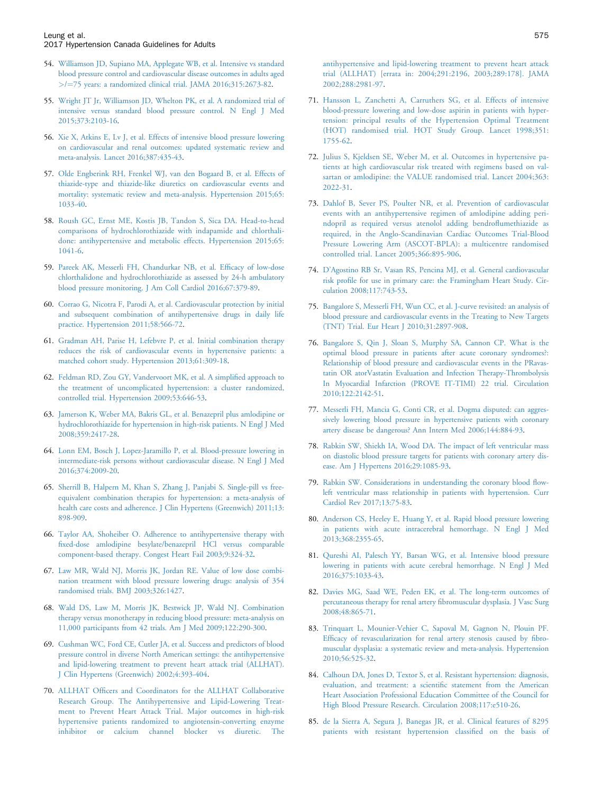#### <span id="page-18-0"></span>Leung et al. 575 2017 Hypertension Canada Guidelines for Adults

- 54. [Williamson JD, Supiano MA, Applegate WB, et al. Intensive vs standard](http://refhub.elsevier.com/S0828-282X(17)30110-1/sref54) [blood pressure control and cardiovascular disease outcomes in adults aged](http://refhub.elsevier.com/S0828-282X(17)30110-1/sref54)  $>$ [/](http://refhub.elsevier.com/S0828-282X(17)30110-1/sref54)=[75 years: a randomized clinical trial. JAMA 2016;315:2673-82.](http://refhub.elsevier.com/S0828-282X(17)30110-1/sref54)
- 55. [Wright JT Jr, Williamson JD, Whelton PK, et al. A randomized trial of](http://refhub.elsevier.com/S0828-282X(17)30110-1/sref55) [intensive versus standard blood pressure control. N Engl J Med](http://refhub.elsevier.com/S0828-282X(17)30110-1/sref55) [2015;373:2103-16.](http://refhub.elsevier.com/S0828-282X(17)30110-1/sref55)
- 56. [Xie X, Atkins E, Lv J, et al. Effects of intensive blood pressure lowering](http://refhub.elsevier.com/S0828-282X(17)30110-1/sref56) [on cardiovascular and renal outcomes: updated systematic review and](http://refhub.elsevier.com/S0828-282X(17)30110-1/sref56) [meta-analysis. Lancet 2016;387:435-43.](http://refhub.elsevier.com/S0828-282X(17)30110-1/sref56)
- 57. [Olde Engberink RH, Frenkel WJ, van den Bogaard B, et al. Effects of](http://refhub.elsevier.com/S0828-282X(17)30110-1/sref57) [thiazide-type and thiazide-like diuretics on cardiovascular events and](http://refhub.elsevier.com/S0828-282X(17)30110-1/sref57) [mortality: systematic review and meta-analysis. Hypertension 2015;65:](http://refhub.elsevier.com/S0828-282X(17)30110-1/sref57) [1033-40.](http://refhub.elsevier.com/S0828-282X(17)30110-1/sref57)
- 58. [Roush GC, Ernst ME, Kostis JB, Tandon S, Sica DA. Head-to-head](http://refhub.elsevier.com/S0828-282X(17)30110-1/sref58) [comparisons of hydrochlorothiazide with indapamide and chlorthali](http://refhub.elsevier.com/S0828-282X(17)30110-1/sref58)[done: antihypertensive and metabolic effects. Hypertension 2015;65:](http://refhub.elsevier.com/S0828-282X(17)30110-1/sref58) [1041-6](http://refhub.elsevier.com/S0828-282X(17)30110-1/sref58).
- 59. [Pareek AK, Messerli FH, Chandurkar NB, et al. Ef](http://refhub.elsevier.com/S0828-282X(17)30110-1/sref59)ficacy of low-dose [chlorthalidone and hydrochlorothiazide as assessed by 24-h ambulatory](http://refhub.elsevier.com/S0828-282X(17)30110-1/sref59) [blood pressure monitoring. J Am Coll Cardiol 2016;67:379-89](http://refhub.elsevier.com/S0828-282X(17)30110-1/sref59).
- 60. [Corrao G, Nicotra F, Parodi A, et al. Cardiovascular protection by initial](http://refhub.elsevier.com/S0828-282X(17)30110-1/sref60) [and subsequent combination of antihypertensive drugs in daily life](http://refhub.elsevier.com/S0828-282X(17)30110-1/sref60) [practice. Hypertension 2011;58:566-72](http://refhub.elsevier.com/S0828-282X(17)30110-1/sref60).
- 61. [Gradman AH, Parise H, Lefebvre P, et al. Initial combination therapy](http://refhub.elsevier.com/S0828-282X(17)30110-1/sref61) [reduces the risk of cardiovascular events in hypertensive patients: a](http://refhub.elsevier.com/S0828-282X(17)30110-1/sref61) [matched cohort study. Hypertension 2013;61:309-18](http://refhub.elsevier.com/S0828-282X(17)30110-1/sref61).
- 62. [Feldman RD, Zou GY, Vandervoort MK, et al. A simpli](http://refhub.elsevier.com/S0828-282X(17)30110-1/sref62)fied approach to [the treatment of uncomplicated hypertension: a cluster randomized,](http://refhub.elsevier.com/S0828-282X(17)30110-1/sref62) [controlled trial. Hypertension 2009;53:646-53](http://refhub.elsevier.com/S0828-282X(17)30110-1/sref62).
- 63. [Jamerson K, Weber MA, Bakris GL, et al. Benazepril plus amlodipine or](http://refhub.elsevier.com/S0828-282X(17)30110-1/sref63) [hydrochlorothiazide for hypertension in high-risk patients. N Engl J Med](http://refhub.elsevier.com/S0828-282X(17)30110-1/sref63) [2008;359:2417-28.](http://refhub.elsevier.com/S0828-282X(17)30110-1/sref63)
- 64. [Lonn EM, Bosch J, Lopez-Jaramillo P, et al. Blood-pressure lowering in](http://refhub.elsevier.com/S0828-282X(17)30110-1/sref64) [intermediate-risk persons without cardiovascular disease. N Engl J Med](http://refhub.elsevier.com/S0828-282X(17)30110-1/sref64) [2016;374:2009-20.](http://refhub.elsevier.com/S0828-282X(17)30110-1/sref64)
- 65. [Sherrill B, Halpern M, Khan S, Zhang J, Panjabi S. Single-pill vs free](http://refhub.elsevier.com/S0828-282X(17)30110-1/sref65)[equivalent combination therapies for hypertension: a meta-analysis of](http://refhub.elsevier.com/S0828-282X(17)30110-1/sref65) [health care costs and adherence. J Clin Hypertens \(Greenwich\) 2011;13:](http://refhub.elsevier.com/S0828-282X(17)30110-1/sref65) [898-909.](http://refhub.elsevier.com/S0828-282X(17)30110-1/sref65)
- 66. [Taylor AA, Shoheiber O. Adherence to antihypertensive therapy with](http://refhub.elsevier.com/S0828-282X(17)30110-1/sref66) fi[xed-dose amlodipine besylate/benazepril HCl versus comparable](http://refhub.elsevier.com/S0828-282X(17)30110-1/sref66) [component-based therapy. Congest Heart Fail 2003;9:324-32.](http://refhub.elsevier.com/S0828-282X(17)30110-1/sref66)
- 67. [Law MR, Wald NJ, Morris JK, Jordan RE. Value of low dose combi](http://refhub.elsevier.com/S0828-282X(17)30110-1/sref67)[nation treatment with blood pressure lowering drugs: analysis of 354](http://refhub.elsevier.com/S0828-282X(17)30110-1/sref67) [randomised trials. BMJ 2003;326:1427.](http://refhub.elsevier.com/S0828-282X(17)30110-1/sref67)
- 68. [Wald DS, Law M, Morris JK, Bestwick JP, Wald NJ. Combination](http://refhub.elsevier.com/S0828-282X(17)30110-1/sref68) [therapy versus monotherapy in reducing blood pressure: meta-analysis on](http://refhub.elsevier.com/S0828-282X(17)30110-1/sref68) [11,000 participants from 42 trials. Am J Med 2009;122:290-300](http://refhub.elsevier.com/S0828-282X(17)30110-1/sref68).
- 69. [Cushman WC, Ford CE, Cutler JA, et al. Success and predictors of blood](http://refhub.elsevier.com/S0828-282X(17)30110-1/sref69) [pressure control in diverse North American settings: the antihypertensive](http://refhub.elsevier.com/S0828-282X(17)30110-1/sref69) [and lipid-lowering treatment to prevent heart attack trial \(ALLHAT\).](http://refhub.elsevier.com/S0828-282X(17)30110-1/sref69) [J Clin Hypertens \(Greenwich\) 2002;4:393-404](http://refhub.elsevier.com/S0828-282X(17)30110-1/sref69).
- 70. ALLHAT Offi[cers and Coordinators for the ALLHAT Collaborative](http://refhub.elsevier.com/S0828-282X(17)30110-1/sref70) [Research Group. The Antihypertensive and Lipid-Lowering Treat](http://refhub.elsevier.com/S0828-282X(17)30110-1/sref70)[ment to Prevent Heart Attack Trial. Major outcomes in high-risk](http://refhub.elsevier.com/S0828-282X(17)30110-1/sref70) [hypertensive patients randomized to angiotensin-converting enzyme](http://refhub.elsevier.com/S0828-282X(17)30110-1/sref70) [inhibitor or calcium channel blocker vs diuretic. The](http://refhub.elsevier.com/S0828-282X(17)30110-1/sref70)

[antihypertensive and lipid-lowering treatment to prevent heart attack](http://refhub.elsevier.com/S0828-282X(17)30110-1/sref70) [trial \(ALLHAT\) \[errata in: 2004;291:2196, 2003;289:178\]. JAMA](http://refhub.elsevier.com/S0828-282X(17)30110-1/sref70) [2002;288:2981-97](http://refhub.elsevier.com/S0828-282X(17)30110-1/sref70).

- 71. [Hansson L, Zanchetti A, Carruthers SG, et al. Effects of intensive](http://refhub.elsevier.com/S0828-282X(17)30110-1/sref71) [blood-pressure lowering and low-dose aspirin in patients with hyper](http://refhub.elsevier.com/S0828-282X(17)30110-1/sref71)[tension: principal results of the Hypertension Optimal Treatment](http://refhub.elsevier.com/S0828-282X(17)30110-1/sref71) [\(HOT\) randomised trial. HOT Study Group. Lancet 1998;351:](http://refhub.elsevier.com/S0828-282X(17)30110-1/sref71) [1755-62.](http://refhub.elsevier.com/S0828-282X(17)30110-1/sref71)
- 72. [Julius S, Kjeldsen SE, Weber M, et al. Outcomes in hypertensive pa](http://refhub.elsevier.com/S0828-282X(17)30110-1/sref72)[tients at high cardiovascular risk treated with regimens based on val](http://refhub.elsevier.com/S0828-282X(17)30110-1/sref72)[sartan or amlodipine: the VALUE randomised trial. Lancet 2004;363:](http://refhub.elsevier.com/S0828-282X(17)30110-1/sref72) [2022-31.](http://refhub.elsevier.com/S0828-282X(17)30110-1/sref72)
- 73. [Dahlof B, Sever PS, Poulter NR, et al. Prevention of cardiovascular](http://refhub.elsevier.com/S0828-282X(17)30110-1/sref73) [events with an antihypertensive regimen of amlodipine adding peri](http://refhub.elsevier.com/S0828-282X(17)30110-1/sref73)[ndopril as required versus atenolol adding bendro](http://refhub.elsevier.com/S0828-282X(17)30110-1/sref73)flumethiazide as [required, in the Anglo-Scandinavian Cardiac Outcomes Trial-Blood](http://refhub.elsevier.com/S0828-282X(17)30110-1/sref73) [Pressure Lowering Arm \(ASCOT-BPLA\): a multicentre randomised](http://refhub.elsevier.com/S0828-282X(17)30110-1/sref73) [controlled trial. Lancet 2005;366:895-906](http://refhub.elsevier.com/S0828-282X(17)30110-1/sref73).
- 74. D'[Agostino RB Sr, Vasan RS, Pencina MJ, et al. General cardiovascular](http://refhub.elsevier.com/S0828-282X(17)30110-1/sref74) risk profi[le for use in primary care: the Framingham Heart Study. Cir](http://refhub.elsevier.com/S0828-282X(17)30110-1/sref74)[culation 2008;117:743-53.](http://refhub.elsevier.com/S0828-282X(17)30110-1/sref74)
- 75. [Bangalore S, Messerli FH, Wun CC, et al. J-curve revisited: an analysis of](http://refhub.elsevier.com/S0828-282X(17)30110-1/sref75) [blood pressure and cardiovascular events in the Treating to New Targets](http://refhub.elsevier.com/S0828-282X(17)30110-1/sref75) [\(TNT\) Trial. Eur Heart J 2010;31:2897-908.](http://refhub.elsevier.com/S0828-282X(17)30110-1/sref75)
- 76. [Bangalore S, Qin J, Sloan S, Murphy SA, Cannon CP. What is the](http://refhub.elsevier.com/S0828-282X(17)30110-1/sref76) [optimal blood pressure in patients after acute coronary syndromes?:](http://refhub.elsevier.com/S0828-282X(17)30110-1/sref76) [Relationship of blood pressure and cardiovascular events in the PRavas](http://refhub.elsevier.com/S0828-282X(17)30110-1/sref76)[tatin OR atorVastatin Evaluation and Infection Therapy-Thrombolysis](http://refhub.elsevier.com/S0828-282X(17)30110-1/sref76) [In Myocardial Infarction \(PROVE IT-TIMI\) 22 trial. Circulation](http://refhub.elsevier.com/S0828-282X(17)30110-1/sref76) [2010;122:2142-51.](http://refhub.elsevier.com/S0828-282X(17)30110-1/sref76)
- 77. [Messerli FH, Mancia G, Conti CR, et al. Dogma disputed: can aggres](http://refhub.elsevier.com/S0828-282X(17)30110-1/sref77)[sively lowering blood pressure in hypertensive patients with coronary](http://refhub.elsevier.com/S0828-282X(17)30110-1/sref77) [artery disease be dangerous? Ann Intern Med 2006;144:884-93.](http://refhub.elsevier.com/S0828-282X(17)30110-1/sref77)
- 78. [Rabkin SW, Shiekh IA, Wood DA. The impact of left ventricular mass](http://refhub.elsevier.com/S0828-282X(17)30110-1/sref78) [on diastolic blood pressure targets for patients with coronary artery dis](http://refhub.elsevier.com/S0828-282X(17)30110-1/sref78)[ease. Am J Hypertens 2016;29:1085-93.](http://refhub.elsevier.com/S0828-282X(17)30110-1/sref78)
- 79. [Rabkin SW. Considerations in understanding the coronary blood](http://refhub.elsevier.com/S0828-282X(17)30110-1/sref79) flow[left ventricular mass relationship in patients with hypertension. Curr](http://refhub.elsevier.com/S0828-282X(17)30110-1/sref79) [Cardiol Rev 2017;13:75-83](http://refhub.elsevier.com/S0828-282X(17)30110-1/sref79).
- 80. [Anderson CS, Heeley E, Huang Y, et al. Rapid blood pressure lowering](http://refhub.elsevier.com/S0828-282X(17)30110-1/sref80) [in patients with acute intracerebral hemorrhage. N Engl J Med](http://refhub.elsevier.com/S0828-282X(17)30110-1/sref80) [2013;368:2355-65.](http://refhub.elsevier.com/S0828-282X(17)30110-1/sref80)
- 81. [Qureshi AI, Palesch YY, Barsan WG, et al. Intensive blood pressure](http://refhub.elsevier.com/S0828-282X(17)30110-1/sref81) [lowering in patients with acute cerebral hemorrhage. N Engl J Med](http://refhub.elsevier.com/S0828-282X(17)30110-1/sref81) [2016;375:1033-43.](http://refhub.elsevier.com/S0828-282X(17)30110-1/sref81)
- 82. [Davies MG, Saad WE, Peden EK, et al. The long-term outcomes of](http://refhub.elsevier.com/S0828-282X(17)30110-1/sref82) [percutaneous therapy for renal artery](http://refhub.elsevier.com/S0828-282X(17)30110-1/sref82) fibromuscular dysplasia. J Vasc Surg [2008;48:865-71.](http://refhub.elsevier.com/S0828-282X(17)30110-1/sref82)
- 83. [Trinquart L, Mounier-Vehier C, Sapoval M, Gagnon N, Plouin PF.](http://refhub.elsevier.com/S0828-282X(17)30110-1/sref83) Effi[cacy of revascularization for renal artery stenosis caused by](http://refhub.elsevier.com/S0828-282X(17)30110-1/sref83) fibro[muscular dysplasia: a systematic review and meta-analysis. Hypertension](http://refhub.elsevier.com/S0828-282X(17)30110-1/sref83) [2010;56:525-32.](http://refhub.elsevier.com/S0828-282X(17)30110-1/sref83)
- 84. [Calhoun DA, Jones D, Textor S, et al. Resistant hypertension: diagnosis,](http://refhub.elsevier.com/S0828-282X(17)30110-1/sref84) [evaluation, and treatment: a scienti](http://refhub.elsevier.com/S0828-282X(17)30110-1/sref84)fic statement from the American [Heart Association Professional Education Committee of the Council for](http://refhub.elsevier.com/S0828-282X(17)30110-1/sref84) [High Blood Pressure Research. Circulation 2008;117:e510-26.](http://refhub.elsevier.com/S0828-282X(17)30110-1/sref84)
- 85. [de la Sierra A, Segura J, Banegas JR, et al. Clinical features of 8295](http://refhub.elsevier.com/S0828-282X(17)30110-1/sref85) [patients with resistant hypertension classi](http://refhub.elsevier.com/S0828-282X(17)30110-1/sref85)fied on the basis of